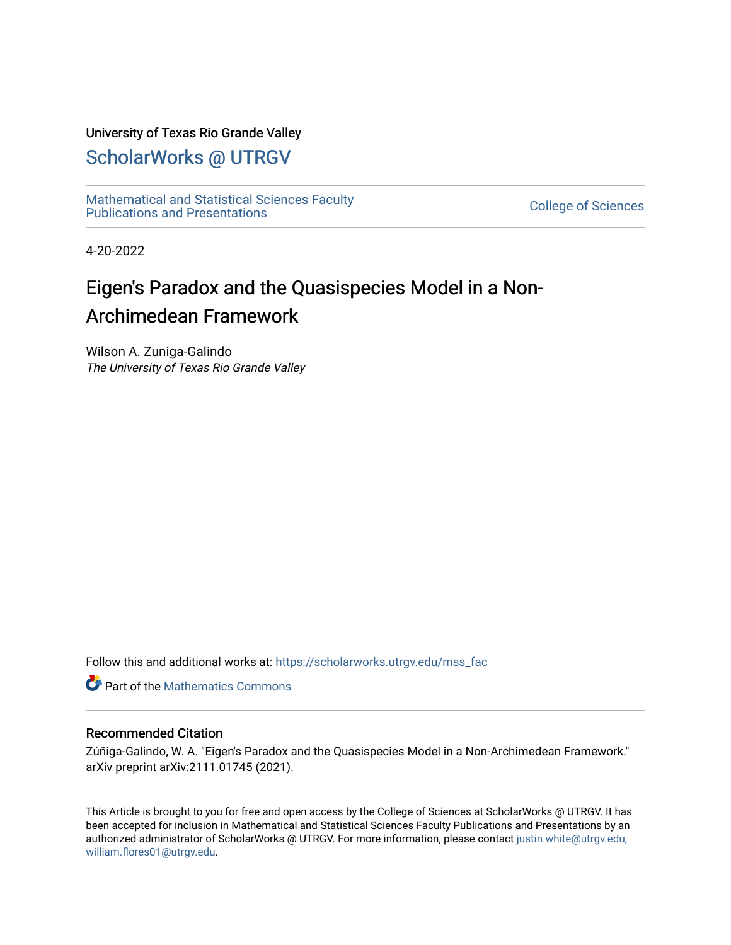## University of Texas Rio Grande Valley

## [ScholarWorks @ UTRGV](https://scholarworks.utrgv.edu/)

[Mathematical and Statistical Sciences Faculty](https://scholarworks.utrgv.edu/mss_fac)  mathematical and Statistical Sciences Faculty<br>Publications and Presentations

4-20-2022

# Eigen's Paradox and the Quasispecies Model in a Non-Archimedean Framework

Wilson A. Zuniga-Galindo The University of Texas Rio Grande Valley

Follow this and additional works at: [https://scholarworks.utrgv.edu/mss\\_fac](https://scholarworks.utrgv.edu/mss_fac?utm_source=scholarworks.utrgv.edu%2Fmss_fac%2F264&utm_medium=PDF&utm_campaign=PDFCoverPages) 

**C** Part of the [Mathematics Commons](http://network.bepress.com/hgg/discipline/174?utm_source=scholarworks.utrgv.edu%2Fmss_fac%2F264&utm_medium=PDF&utm_campaign=PDFCoverPages)

## Recommended Citation

Zúñiga-Galindo, W. A. "Eigen's Paradox and the Quasispecies Model in a Non-Archimedean Framework." arXiv preprint arXiv:2111.01745 (2021).

This Article is brought to you for free and open access by the College of Sciences at ScholarWorks @ UTRGV. It has been accepted for inclusion in Mathematical and Statistical Sciences Faculty Publications and Presentations by an authorized administrator of ScholarWorks @ UTRGV. For more information, please contact [justin.white@utrgv.edu,](mailto:justin.white@utrgv.edu,%20william.flores01@utrgv.edu)  [william.flores01@utrgv.edu](mailto:justin.white@utrgv.edu,%20william.flores01@utrgv.edu).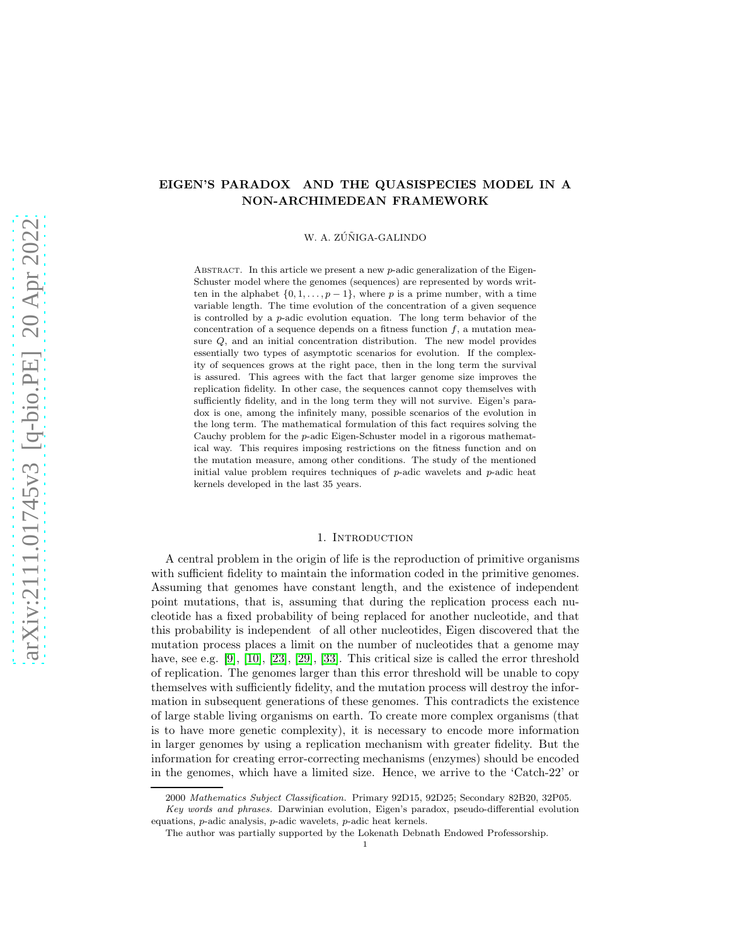## EIGEN'S PARADOX AND THE QUASISPECIES MODEL IN A NON-ARCHIMEDEAN FRAMEWORK

W. A. ZÚÑIGA-GALINDO

ABSTRACT. In this article we present a new  $p$ -adic generalization of the Eigen-Schuster model where the genomes (sequences) are represented by words written in the alphabet  $\{0, 1, \ldots, p-1\}$ , where p is a prime number, with a time variable length. The time evolution of the concentration of a given sequence is controlled by a p-adic evolution equation. The long term behavior of the concentration of a sequence depends on a fitness function  $f$ , a mutation measure Q, and an initial concentration distribution. The new model provides essentially two types of asymptotic scenarios for evolution. If the complexity of sequences grows at the right pace, then in the long term the survival is assured. This agrees with the fact that larger genome size improves the replication fidelity. In other case, the sequences cannot copy themselves with sufficiently fidelity, and in the long term they will not survive. Eigen's paradox is one, among the infinitely many, possible scenarios of the evolution in the long term. The mathematical formulation of this fact requires solving the Cauchy problem for the p-adic Eigen-Schuster model in a rigorous mathematical way. This requires imposing restrictions on the fitness function and on the mutation measure, among other conditions. The study of the mentioned initial value problem requires techniques of  $p$ -adic wavelets and  $p$ -adic heat kernels developed in the last 35 years.

#### 1. INTRODUCTION

A central problem in the origin of life is the reproduction of primitive organisms with sufficient fidelity to maintain the information coded in the primitive genomes. Assuming that genomes have constant length, and the existence of independent point mutations, that is, assuming that during the replication process each nucleotide has a fixed probability of being replaced for another nucleotide, and that this probability is independent of all other nucleotides, Eigen discovered that the mutation process places a limit on the number of nucleotides that a genome may have, see e.g. [\[9\]](#page-25-0), [10], [\[23\]](#page-26-0), [\[29\]](#page-26-1), [33]. This critical size is called the error threshold of replication. The genomes larger than this error threshold will be unable to copy themselves with sufficiently fidelity, and the mutation process will destroy the information in subsequent generations of these genomes. This contradicts the existence of large stable living organisms on earth. To create more complex organisms (that is to have more genetic complexity), it is necessary to encode more information in larger genomes by using a replication mechanism with greater fidelity. But the information for creating error-correcting mechanisms (enzymes) should be encoded in the genomes, which have a limited size. Hence, we arrive to the 'Catch-22' or

<sup>2000</sup> Mathematics Subject Classification. Primary 92D15, 92D25; Secondary 82B20, 32P05.

Key words and phrases. Darwinian evolution, Eigen's paradox, pseudo-differential evolution equations, p-adic analysis, p-adic wavelets, p-adic heat kernels.

The author was partially supported by the Lokenath Debnath Endowed Professorship.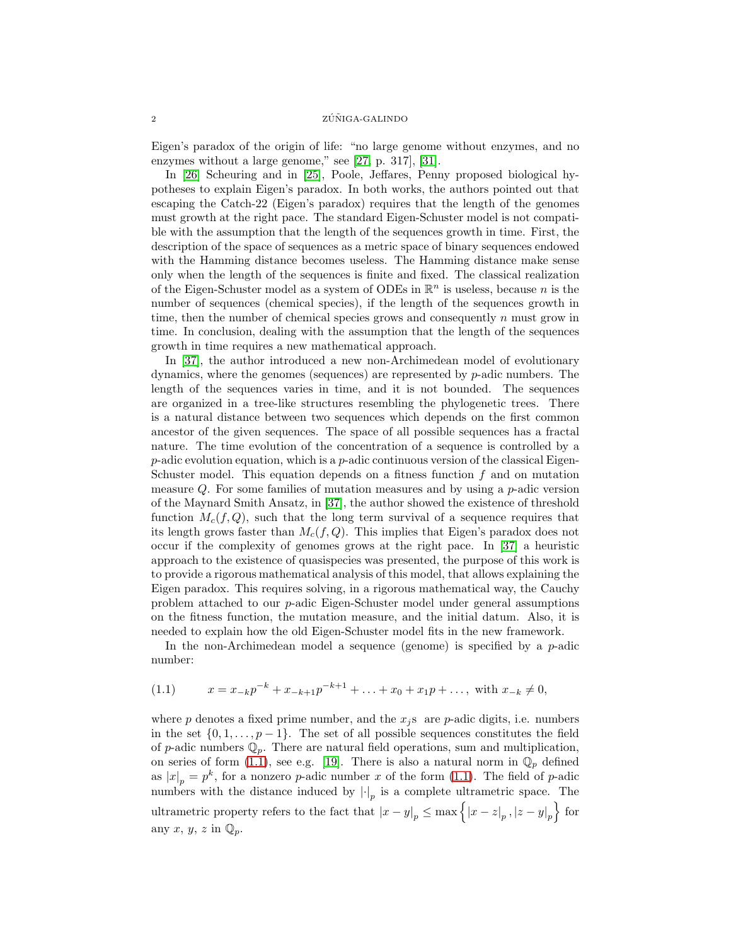Eigen's paradox of the origin of life: "no large genome without enzymes, and no enzymes without a large genome," see [27, p. 317], [\[31\]](#page-26-2).

In [\[26\]](#page-26-3) Scheuring and in [25], Poole, Jeffares, Penny proposed biological hypotheses to explain Eigen's paradox. In both works, the authors pointed out that escaping the Catch-22 (Eigen's paradox) requires that the length of the genomes must growth at the right pace. The standard Eigen-Schuster model is not compatible with the assumption that the length of the sequences growth in time. First, the description of the space of sequences as a metric space of binary sequences endowed with the Hamming distance becomes useless. The Hamming distance make sense only when the length of the sequences is finite and fixed. The classical realization of the Eigen-Schuster model as a system of ODEs in  $\mathbb{R}^n$  is useless, because n is the number of sequences (chemical species), if the length of the sequences growth in time, then the number of chemical species grows and consequently  $n$  must grow in time. In conclusion, dealing with the assumption that the length of the sequences growth in time requires a new mathematical approach.

In [\[37\]](#page-26-4), the author introduced a new non-Archimedean model of evolutionary dynamics, where the genomes (sequences) are represented by p-adic numbers. The length of the sequences varies in time, and it is not bounded. The sequences are organized in a tree-like structures resembling the phylogenetic trees. There is a natural distance between two sequences which depends on the first common ancestor of the given sequences. The space of all possible sequences has a fractal nature. The time evolution of the concentration of a sequence is controlled by a  $p$ -adic evolution equation, which is a  $p$ -adic continuous version of the classical Eigen-Schuster model. This equation depends on a fitness function  $f$  and on mutation measure  $Q$ . For some families of mutation measures and by using a  $p$ -adic version of the Maynard Smith Ansatz, in [\[37\]](#page-26-4), the author showed the existence of threshold function  $M_c(f, Q)$ , such that the long term survival of a sequence requires that its length grows faster than  $M_c(f, Q)$ . This implies that Eigen's paradox does not occur if the complexity of genomes grows at the right pace. In [\[37\]](#page-26-4) a heuristic approach to the existence of quasispecies was presented, the purpose of this work is to provide a rigorous mathematical analysis of this model, that allows explaining the Eigen paradox. This requires solving, in a rigorous mathematical way, the Cauchy problem attached to our p-adic Eigen-Schuster model under general assumptions on the fitness function, the mutation measure, and the initial datum. Also, it is needed to explain how the old Eigen-Schuster model fits in the new framework.

In the non-Archimedean model a sequence (genome) is specified by a  $p$ -adic number:

<span id="page-2-0"></span>
$$
(1.1) \t x = x_{-k}p^{-k} + x_{-k+1}p^{-k+1} + \ldots + x_0 + x_1p + \ldots, \text{ with } x_{-k} \neq 0,
$$

where p denotes a fixed prime number, and the  $x_i$  s are p-adic digits, i.e. numbers in the set  $\{0, 1, \ldots, p-1\}$ . The set of all possible sequences constitutes the field of p-adic numbers  $\mathbb{Q}_p$ . There are natural field operations, sum and multiplication, on series of form [\(1.1\)](#page-2-0), see e.g. [\[19\]](#page-25-1). There is also a natural norm in  $\mathbb{Q}_p$  defined as  $|x|_p = p^k$ , for a nonzero p-adic number x of the form [\(1.1\)](#page-2-0). The field of p-adic numbers with the distance induced by  $|\cdot|_p$  is a complete ultrametric space. The ultrametric property refers to the fact that  $|x - y|_p \le \max\left\{ |x - z|_p, |z - y|_p \right\}$  for any  $x, y, z$  in  $\mathbb{Q}_p$ .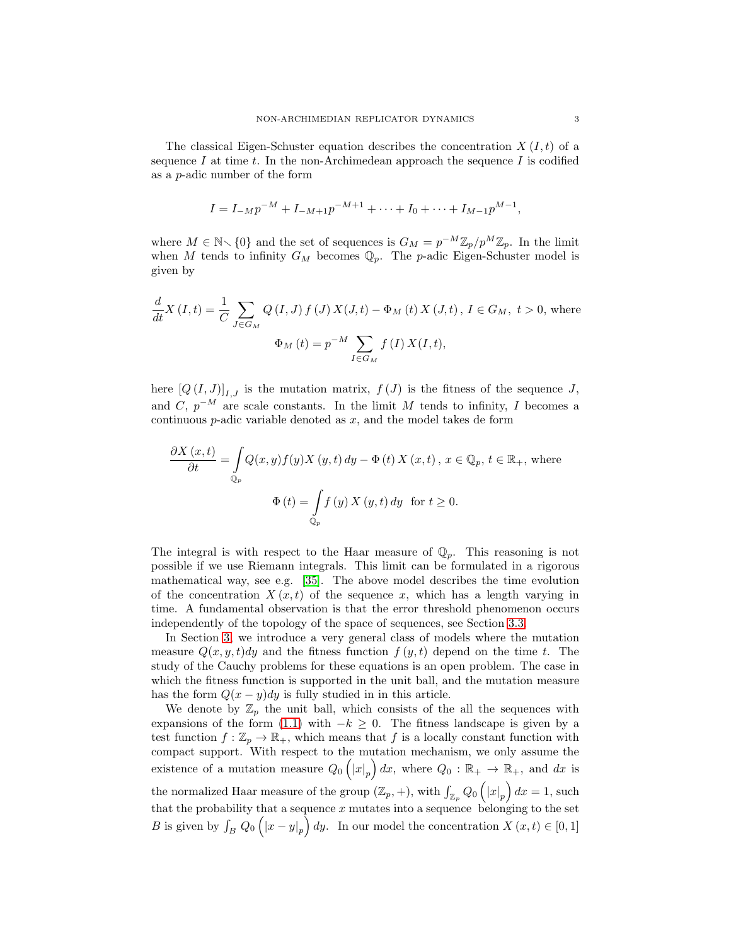The classical Eigen-Schuster equation describes the concentration  $X(I,t)$  of a sequence I at time t. In the non-Archimedean approach the sequence I is codified as a p-adic number of the form

$$
I = I_{-M}p^{-M} + I_{-M+1}p^{-M+1} + \cdots + I_0 + \cdots + I_{M-1}p^{M-1},
$$

where  $M \in \mathbb{N} \setminus \{0\}$  and the set of sequences is  $G_M = p^{-M} \mathbb{Z}_p / p^M \mathbb{Z}_p$ . In the limit when M tends to infinity  $G_M$  becomes  $\mathbb{Q}_p$ . The p-adic Eigen-Schuster model is given by

$$
\frac{d}{dt}X(I,t) = \frac{1}{C} \sum_{J \in G_M} Q(I,J) f(J) X(J,t) - \Phi_M(t) X(J,t), I \in G_M, t > 0, \text{ where}
$$

$$
\Phi_M(t) = p^{-M} \sum_{I \in G_M} f(I) X(I,t),
$$

here  $[Q(I,J)]_{I,J}$  is the mutation matrix,  $f(J)$  is the fitness of the sequence J, and C,  $p^{-M}$  are scale constants. In the limit M tends to infinity, I becomes a continuous  $p$ -adic variable denoted as  $x$ , and the model takes de form

$$
\frac{\partial X(x,t)}{\partial t} = \int_{\mathbb{Q}_p} Q(x,y) f(y) X(y,t) dy - \Phi(t) X(x,t), x \in \mathbb{Q}_p, t \in \mathbb{R}_+, \text{ where}
$$
  

$$
\Phi(t) = \int_{\mathbb{Q}_p} f(y) X(y,t) dy \text{ for } t \ge 0.
$$

The integral is with respect to the Haar measure of  $\mathbb{Q}_p$ . This reasoning is not possible if we use Riemann integrals. This limit can be formulated in a rigorous mathematical way, see e.g. [\[35\]](#page-26-5). The above model describes the time evolution of the concentration  $X(x,t)$  of the sequence x, which has a length varying in time. A fundamental observation is that the error threshold phenomenon occurs independently of the topology of the space of sequences, see Section [3.3.](#page-11-0)

In Section [3,](#page-8-0) we introduce a very general class of models where the mutation measure  $Q(x, y, t)dy$  and the fitness function  $f(y, t)$  depend on the time t. The study of the Cauchy problems for these equations is an open problem. The case in which the fitness function is supported in the unit ball, and the mutation measure has the form  $Q(x - y)dy$  is fully studied in in this article.

We denote by  $\mathbb{Z}_p$  the unit ball, which consists of the all the sequences with expansions of the form [\(1.1\)](#page-2-0) with  $-k \geq 0$ . The fitness landscape is given by a test function  $f : \mathbb{Z}_p \to \mathbb{R}_+$ , which means that f is a locally constant function with compact support. With respect to the mutation mechanism, we only assume the existence of a mutation measure  $Q_0(|x|_p) dx$ , where  $Q_0 : \mathbb{R}_+ \to \mathbb{R}_+$ , and dx is the normalized Haar measure of the group  $(\mathbb{Z}_p, +)$ , with  $\int_{\mathbb{Z}_p} Q_0(\vert x \vert_p) dx = 1$ , such that the probability that a sequence  $x$  mutates into a sequence belonging to the set B is given by  $\int_B Q_0(|x-y|_p) dy$ . In our model the concentration  $X(x,t) \in [0,1]$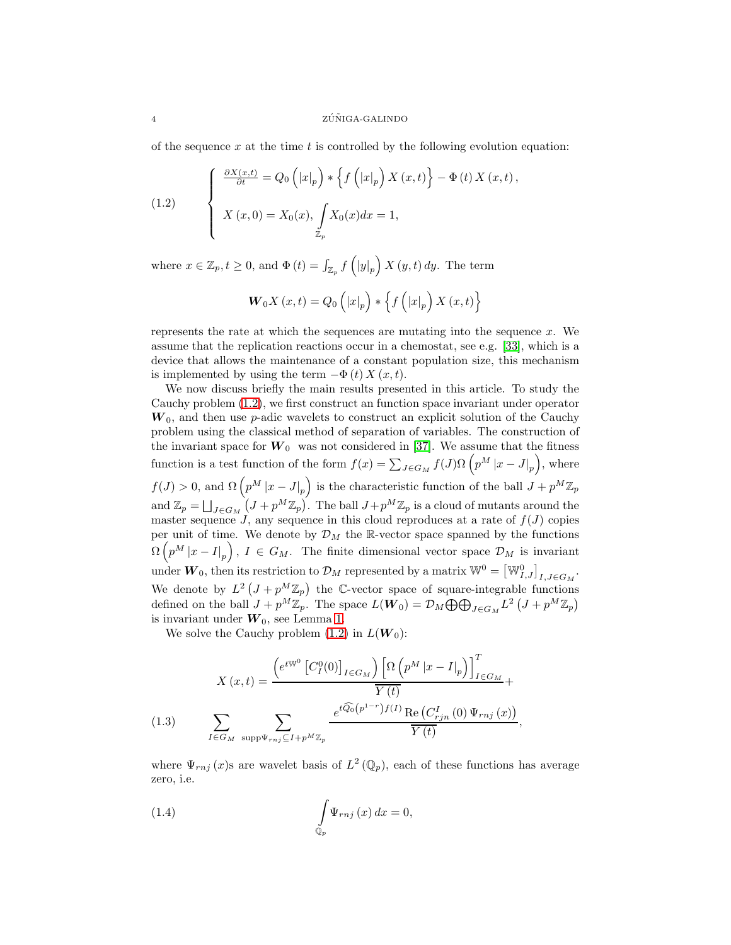of the sequence x at the time t is controlled by the following evolution equation:

<span id="page-4-0"></span>(1.2) 
$$
\begin{cases} \frac{\partial X(x,t)}{\partial t} = Q_0(|x|_p) * \left\{ f(|x|_p) X(x,t) \right\} - \Phi(t) X(x,t), \\ X(x,0) = X_0(x), \int_{\mathbb{Z}_p} X_0(x) dx = 1, \end{cases}
$$

where  $x \in \mathbb{Z}_p, t \geq 0$ , and  $\Phi(t) = \int_{\mathbb{Z}_p} f\left(|y|_p\right) X(y, t) dy$ . The term

$$
\boldsymbol{W}_{0}\boldsymbol{X}\left(\boldsymbol{x},t\right)=\boldsymbol{Q}_{0}\left(\left|\boldsymbol{x}\right|_{p}\right)\ast\left\{ \boldsymbol{f}\left(\left|\boldsymbol{x}\right|_{p}\right)\boldsymbol{X}\left(\boldsymbol{x},t\right)\right\}
$$

represents the rate at which the sequences are mutating into the sequence  $x$ . We assume that the replication reactions occur in a chemostat, see e.g. [33], which is a device that allows the maintenance of a constant population size, this mechanism is implemented by using the term  $-\Phi(t) X(x, t)$ .

We now discuss briefly the main results presented in this article. To study the Cauchy problem [\(1.2\)](#page-4-0), we first construct an function space invariant under operator  $W_0$ , and then use p-adic wavelets to construct an explicit solution of the Cauchy problem using the classical method of separation of variables. The construction of the invariant space for  $W_0$  was not considered in [\[37\]](#page-26-4). We assume that the fitness function is a test function of the form  $f(x) = \sum_{J \in G_M} f(J) \Omega(p^M |x - J|_p)$ , where  $f(J) > 0$ , and  $\Omega\left(p^M|x-J|_p\right)$  is the characteristic function of the ball  $J + p^M \mathbb{Z}_p$ and  $\mathbb{Z}_p = \bigsqcup_{J \in G_M} (J + p^M \mathbb{Z}_p)$ . The ball  $J + p^M \mathbb{Z}_p$  is a cloud of mutants around the master sequence  $J$ , any sequence in this cloud reproduces at a rate of  $f(J)$  copies per unit of time. We denote by  $\mathcal{D}_M$  the R-vector space spanned by the functions  $\Omega\left(p^M|x-I|_p\right), I \in G_M$ . The finite dimensional vector space  $\mathcal{D}_M$  is invariant under  $W_0$ , then its restriction to  $\mathcal{D}_M$  represented by a matrix  $\mathbb{W}^0 = \left[\mathbb{W}_{I,J}^0\right]_{I,J \in G_M}$ . We denote by  $L^2\left(J+p^M\mathbb{Z}_p\right)$  the C-vector space of square-integrable functions defined on the ball  $J + p^M \mathbb{Z}_p$ . The space  $L(\boldsymbol{W}_0) = \mathcal{D}_M \bigoplus \bigoplus_{J \in G_M} L^2 \left( J + p^M \mathbb{Z}_p \right)$ is invariant under  $W_0$ , see Lemma [1.](#page-18-0)

We solve the Cauchy problem  $(1.2)$  in  $L(\boldsymbol{W}_0)$ :

(1.3) 
$$
X(x,t) = \frac{\left(e^{t\mathbb{W}^0} \left[C_I^0(0)\right]_{I \in G_M}\right) \left[\Omega \left(p^M |x - I|_p\right)\right]_{I \in G_M}^T}{\overline{Y(t)}} +
$$

$$
\sum_{I \in G_M} \sum_{\text{supp}\Psi_{rnj} \subseteq I + p^M \mathbb{Z}_p} \frac{e^{t\widehat{Q_0}\left(p^{1-r}\right)f(I)} \operatorname{Re}\left(C_{rjn}^I\left(0\right)\Psi_{rnj}\left(x\right)\right)}{\overline{Y(t)}},
$$

<span id="page-4-2"></span>where  $\Psi_{rnj}(x)$ s are wavelet basis of  $L^2(\mathbb{Q}_p)$ , each of these functions has average zero, i.e.

<span id="page-4-1"></span>(1.4) 
$$
\int_{\mathbb{Q}_p} \Psi_{rnj}(x) dx = 0,
$$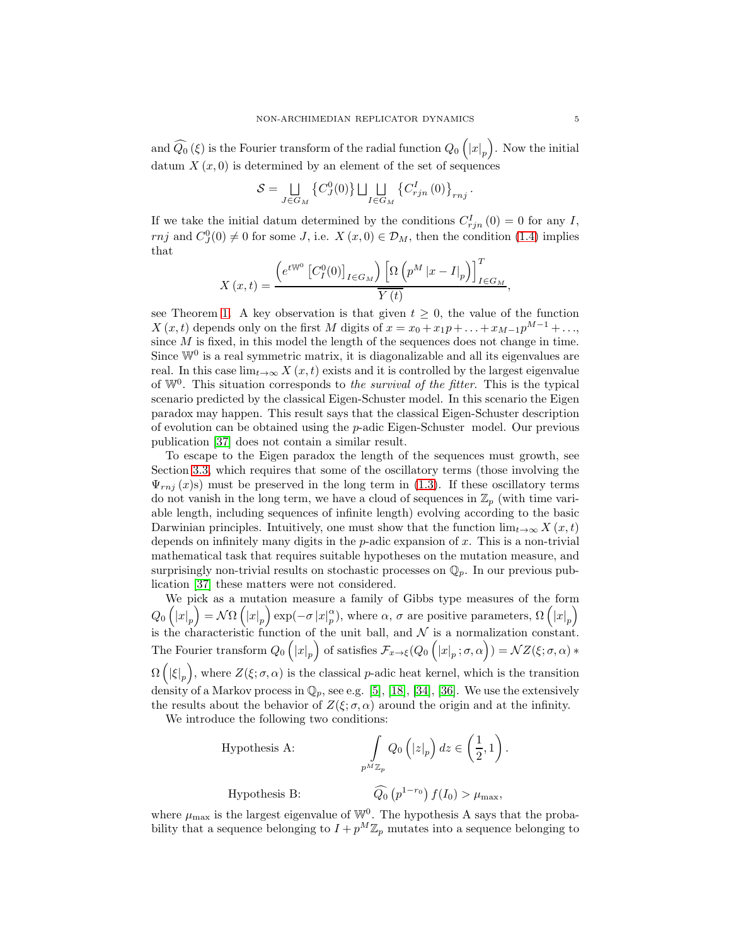and  $\widehat{Q_0}\left( \xi \right)$  is the Fourier transform of the radial function  $Q_0\left( {\left| x \right|_p } \right)$ . Now the initial datum  $X(x, 0)$  is determined by an element of the set of sequences

$$
S = \bigcup_{J \in G_M} \left\{ C_J^0(0) \right\} \bigsqcup_{I \in G_M} \left\{ C_{rjn}^I(0) \right\}_{rnj}.
$$

If we take the initial datum determined by the conditions  $C_{rjn}^I(0) = 0$  for any I, rnj and  $C_J^0(0) \neq 0$  for some J, i.e.  $X(x, 0) \in \mathcal{D}_M$ , then the condition [\(1.4\)](#page-4-1) implies that

$$
X(x,t) = \frac{\left(e^{tW^0} \left[C_I^0(0)\right]_{I \in G_M}\right) \left[\Omega \left(p^M \left|x - I\right|_p\right)\right]_{I \in G_M}^T}{\overline{Y(t)}},
$$

see Theorem [1.](#page-21-0) A key observation is that given  $t \geq 0$ , the value of the function X  $(x, t)$  depends only on the first M digits of  $x = x_0 + x_1p + \ldots + x_{M-1}p^{M-1} + \ldots$ since  $M$  is fixed, in this model the length of the sequences does not change in time. Since  $\mathbb{W}^0$  is a real symmetric matrix, it is diagonalizable and all its eigenvalues are real. In this case  $\lim_{t\to\infty} X(x,t)$  exists and it is controlled by the largest eigenvalue of W<sup>0</sup> . This situation corresponds to *the survival of the fitter*. This is the typical scenario predicted by the classical Eigen-Schuster model. In this scenario the Eigen paradox may happen. This result says that the classical Eigen-Schuster description of evolution can be obtained using the  $p$ -adic Eigen-Schuster model. Our previous publication [\[37\]](#page-26-4) does not contain a similar result.

To escape to the Eigen paradox the length of the sequences must growth, see Section [3.3,](#page-11-0) which requires that some of the oscillatory terms (those involving the  $\Psi_{rnj}(x)$ s) must be preserved in the long term in [\(1.3\)](#page-4-2). If these oscillatory terms do not vanish in the long term, we have a cloud of sequences in  $\mathbb{Z}_p$  (with time variable length, including sequences of infinite length) evolving according to the basic Darwinian principles. Intuitively, one must show that the function  $\lim_{t\to\infty} X(x,t)$ depends on infinitely many digits in the  $p$ -adic expansion of  $x$ . This is a non-trivial mathematical task that requires suitable hypotheses on the mutation measure, and surprisingly non-trivial results on stochastic processes on  $\mathbb{Q}_p$ . In our previous publication [\[37\]](#page-26-4) these matters were not considered.

We pick as a mutation measure a family of Gibbs type measures of the form  $Q_0\left(|x|_p\right) = \mathcal{N}\Omega\left(|x|_p\right) \exp(-\sigma |x|_p^{\alpha}),$  where  $\alpha, \sigma$  are positive parameters,  $\Omega\left(|x|_p\right)$ is the characteristic function of the unit ball, and  $\mathcal N$  is a normalization constant. The Fourier transform  $Q_0(|x|_p)$  of satisfies  $\mathcal{F}_{x\to \xi}(Q_0(|x|_p;\sigma,\alpha)) = \mathcal{N}Z(\xi;\sigma,\alpha) *$  $\Omega\left(\ket{\xi}_p\right)$ , where  $Z(\xi;\sigma,\alpha)$  is the classical p-adic heat kernel, which is the transition density of a Markov process in  $\mathbb{Q}_p$ , see e.g. [5], [\[18\]](#page-25-2), [\[34\]](#page-26-6), [\[36\]](#page-26-7). We use the extensively the results about the behavior of  $Z(\xi;\sigma,\alpha)$  around the origin and at the infinity.

We introduce the following two conditions:

Hypothesis A:  
\n
$$
\int_{p^M \mathbb{Z}_p} Q_0(|z|_p) dz \in \left(\frac{1}{2}, 1\right).
$$
\nHypothesis B:  
\n
$$
\widehat{Q}_0(p^{1-r_0}) f(I_0) > \mu_{\max},
$$

where  $\mu_{\text{max}}$  is the largest eigenvalue of  $\mathbb{W}^0$ . The hypothesis A says that the probability that a sequence belonging to  $I + p^M \mathbb{Z}_p$  mutates into a sequence belonging to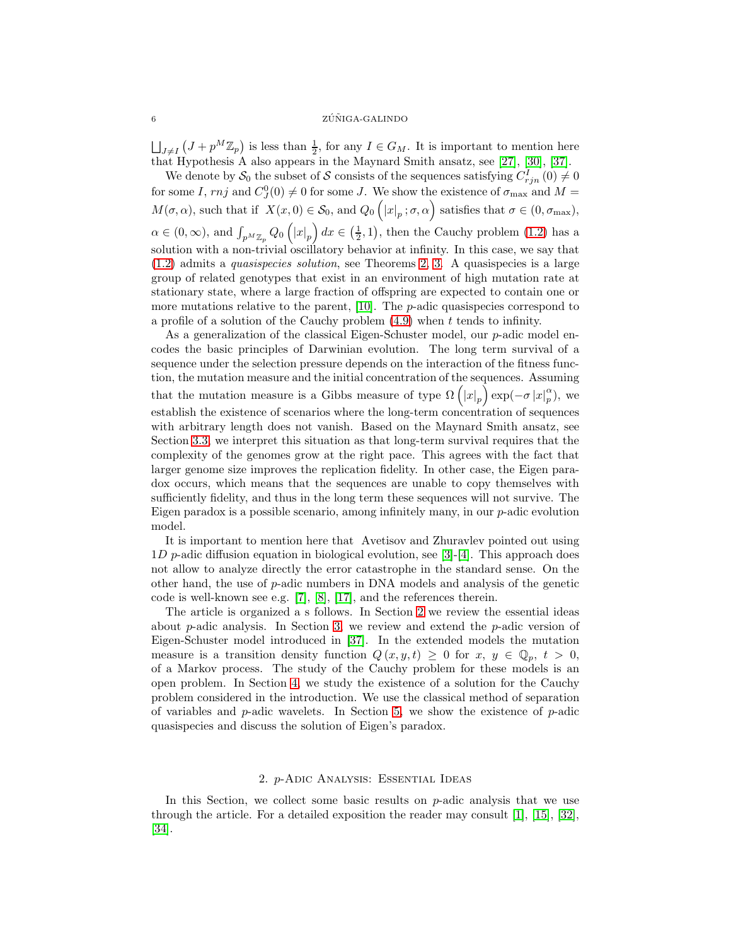#### $\sim 2\texttt{\^{T}NIGA-GALINDO}$

 $\bigcup_{J\neq I} (J + p^M \mathbb{Z}_p)$  is less than  $\frac{1}{2}$ , for any  $I \in G_M$ . It is important to mention here that Hypothesis A also appears in the Maynard Smith ansatz, see [27], [\[30\]](#page-26-8), [\[37\]](#page-26-4).

We denote by  $S_0$  the subset of S consists of the sequences satisfying  $C_{rjn}^I(0) \neq 0$ for some I,  $rnj$  and  $C_J^0(0) \neq 0$  for some J. We show the existence of  $\sigma_{\text{max}}$  and  $M =$  $M(\sigma, \alpha)$ , such that if  $X(x, 0) \in S_0$ , and  $Q_0\left(|x|_p; \sigma, \alpha\right)$  satisfies that  $\sigma \in (0, \sigma_{\max})$ ,  $\alpha \in (0,\infty)$ , and  $\int_{p^M \mathbb{Z}_p} Q_0 \left( |x|_p \right) dx \in \left( \frac{1}{2}, 1 \right)$ , then the Cauchy problem [\(1.2\)](#page-4-0) has a solution with a non-trivial oscillatory behavior at infinity. In this case, we say that [\(1.2\)](#page-4-0) admits a *quasispecies solution*, see Theorems [2,](#page-23-0) [3.](#page-25-3) A quasispecies is a large group of related genotypes that exist in an environment of high mutation rate at stationary state, where a large fraction of offspring are expected to contain one or more mutations relative to the parent,  $[10]$ . The *p*-adic quasispecies correspond to a profile of a solution of the Cauchy problem  $(4.9)$  when t tends to infinity.

As a generalization of the classical Eigen-Schuster model, our *p*-adic model encodes the basic principles of Darwinian evolution. The long term survival of a sequence under the selection pressure depends on the interaction of the fitness function, the mutation measure and the initial concentration of the sequences. Assuming that the mutation measure is a Gibbs measure of type  $\Omega(|x|_p) \exp(-\sigma |x|_p^{\alpha})$  $_p^{\alpha}$ ), we establish the existence of scenarios where the long-term concentration of sequences with arbitrary length does not vanish. Based on the Maynard Smith ansatz, see Section [3.3,](#page-11-0) we interpret this situation as that long-term survival requires that the complexity of the genomes grow at the right pace. This agrees with the fact that larger genome size improves the replication fidelity. In other case, the Eigen paradox occurs, which means that the sequences are unable to copy themselves with sufficiently fidelity, and thus in the long term these sequences will not survive. The Eigen paradox is a possible scenario, among infinitely many, in our p-adic evolution model.

It is important to mention here that Avetisov and Zhuravlev pointed out using 1D p-adic diffusion equation in biological evolution, see [\[3\]](#page-25-4)-[\[4\]](#page-25-5). This approach does not allow to analyze directly the error catastrophe in the standard sense. On the other hand, the use of  $p$ -adic numbers in DNA models and analysis of the genetic code is well-known see e.g. [\[7\]](#page-25-6), [\[8\]](#page-25-7), [\[17\]](#page-25-8), and the references therein.

The article is organized a s follows. In Section [2](#page-6-0) we review the essential ideas about p-adic analysis. In Section [3,](#page-8-0) we review and extend the p-adic version of Eigen-Schuster model introduced in [\[37\]](#page-26-4). In the extended models the mutation measure is a transition density function  $Q(x, y, t) \geq 0$  for  $x, y \in \mathbb{Q}_p$ ,  $t > 0$ , of a Markov process. The study of the Cauchy problem for these models is an open problem. In Section [4,](#page-14-0) we study the existence of a solution for the Cauchy problem considered in the introduction. We use the classical method of separation of variables and  $p$ -adic wavelets. In Section [5,](#page-21-1) we show the existence of  $p$ -adic quasispecies and discuss the solution of Eigen's paradox.

## 2. p-Adic Analysis: Essential Ideas

<span id="page-6-0"></span>In this Section, we collect some basic results on  $p$ -adic analysis that we use through the article. For a detailed exposition the reader may consult  $[1]$ ,  $[15]$ ,  $[32]$ , [\[34\]](#page-26-6).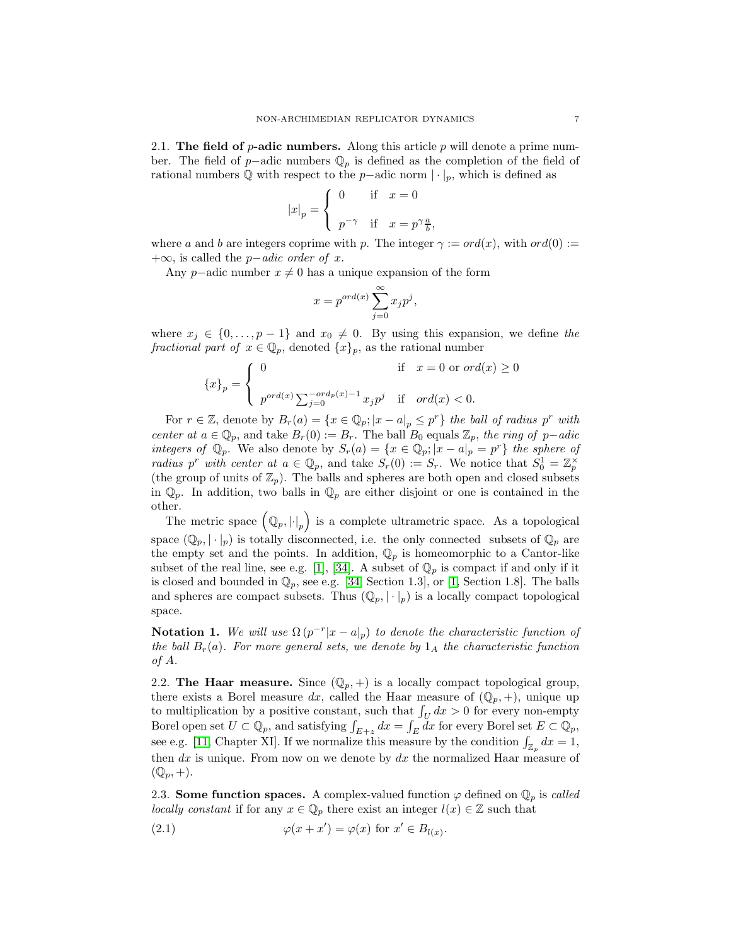2.1. The field of  $p$ -adic numbers. Along this article p will denote a prime number. The field of p−adic numbers  $\mathbb{Q}_p$  is defined as the completion of the field of rational numbers  $\mathbb Q$  with respect to the p−adic norm  $|\cdot|_p$ , which is defined as

$$
|x|_p = \begin{cases} 0 & \text{if} \quad x = 0 \\ p^{-\gamma} & \text{if} \quad x = p^{\gamma} \frac{a}{b} \end{cases}
$$

where a and b are integers coprime with p. The integer  $\gamma := ord(x)$ , with  $ord(0) :=$ +∞, is called the p−*adic order of* x.

,

Any p–adic number  $x \neq 0$  has a unique expansion of the form

$$
x = p^{ord(x)} \sum_{j=0}^{\infty} x_j p^j,
$$

where  $x_j \in \{0, \ldots, p-1\}$  and  $x_0 \neq 0$ . By using this expansion, we define the *fractional part of*  $x \in \mathbb{Q}_p$ , denoted  $\{x\}_p$ , as the rational number

$$
\{x\}_p = \begin{cases} 0 & \text{if } x = 0 \text{ or } ord(x) \ge 0 \\ p^{ord(x)} \sum_{j=0}^{-ord_p(x)-1} x_j p^j & \text{if } ord(x) < 0. \end{cases}
$$

For  $r \in \mathbb{Z}$ , denote by  $B_r(a) = \{x \in \mathbb{Q}_p; |x - a|_p \leq p^r\}$  the ball of radius  $p^r$  with *center at*  $a \in \mathbb{Q}_p$ , and take  $B_r(0) := B_r$ . The ball  $B_0$  equals  $\mathbb{Z}_p$ , the ring of p−*adic integers of*  $\mathbb{Q}_p$ . We also denote by  $S_r(a) = \{x \in \mathbb{Q}_p; |x - a|_p = p^r\}$  the sphere of *radius*  $p^r$  *with center at*  $a \in \mathbb{Q}_p$ , and take  $S_r(0) := S_r$ . We notice that  $S_0^1 = \mathbb{Z}_p^{\times}$ (the group of units of  $\mathbb{Z}_p$ ). The balls and spheres are both open and closed subsets in  $\mathbb{Q}_p$ . In addition, two balls in  $\mathbb{Q}_p$  are either disjoint or one is contained in the other.

The metric space  $(Q_p, |\cdot|_p)$  is a complete ultrametric space. As a topological space  $(\mathbb{Q}_p, |\cdot|_p)$  is totally disconnected, i.e. the only connected subsets of  $\mathbb{Q}_p$  are the empty set and the points. In addition,  $\mathbb{Q}_p$  is homeomorphic to a Cantor-like subset of the real line, see e.g. [1], [\[34\]](#page-26-6). A subset of  $\mathbb{Q}_p$  is compact if and only if it is closed and bounded in  $\mathbb{Q}_p$ , see e.g. [\[34,](#page-26-6) Section 1.3], or [1, Section 1.8]. The balls and spheres are compact subsets. Thus  $(\mathbb{Q}_p, |\cdot|_p)$  is a locally compact topological space.

Notation 1. We will use  $\Omega(p^{-r}|x-a|_p)$  to denote the characteristic function of *the ball*  $B_r(a)$ *. For more general sets, we denote by*  $1_A$  *the characteristic function of* A*.*

2.2. The Haar measure. Since  $(\mathbb{Q}_p, +)$  is a locally compact topological group, there exists a Borel measure dx, called the Haar measure of  $(\mathbb{Q}_p, +)$ , unique up to multiplication by a positive constant, such that  $\int_U dx > 0$  for every non-empty Borel open set  $U \subset \mathbb{Q}_p$ , and satisfying  $\int_{E+z} dx = \int_E dx$  for every Borel set  $E \subset \mathbb{Q}_p$ , see e.g. [\[11,](#page-25-10) Chapter XI]. If we normalize this measure by the condition  $\int_{\mathbb{Z}_p} dx = 1$ , then  $dx$  is unique. From now on we denote by  $dx$  the normalized Haar measure of  $(\mathbb{Q}_p, +).$ 

2.3. **Some function spaces.** A complex-valued function  $\varphi$  defined on  $\mathbb{Q}_n$  is *called locally constant* if for any  $x \in \mathbb{Q}_p$  there exist an integer  $l(x) \in \mathbb{Z}$  such that

<span id="page-7-0"></span>(2.1) 
$$
\varphi(x+x') = \varphi(x) \text{ for } x' \in B_{l(x)}.
$$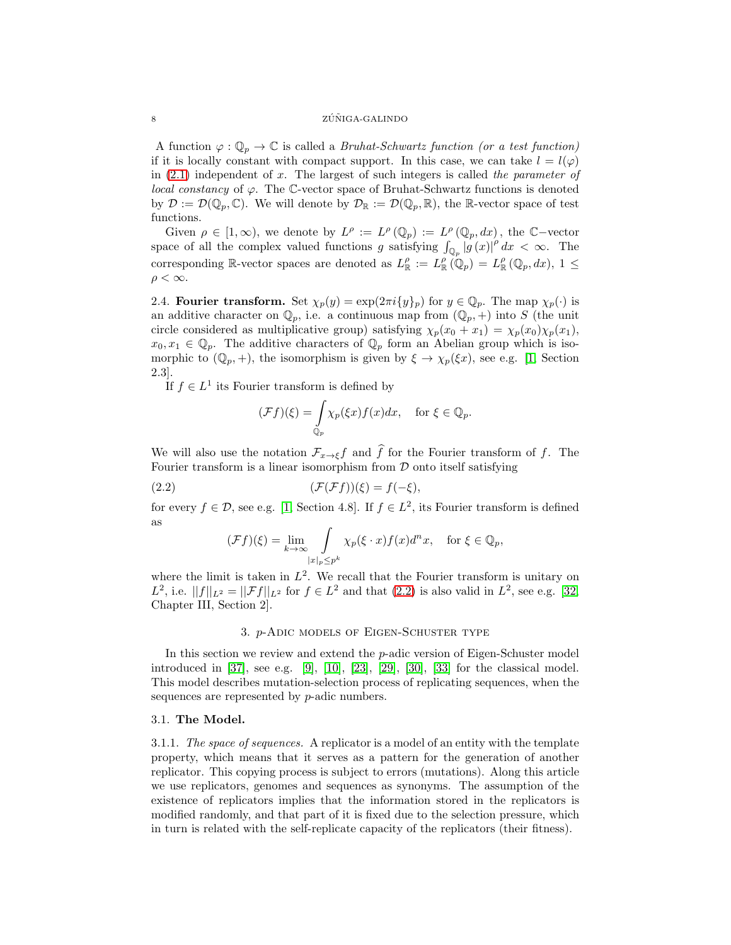#### 8 ZÚÑIGA-GALINDO

A function  $\varphi : \mathbb{Q}_p \to \mathbb{C}$  is called a *Bruhat-Schwartz function (or a test function)* if it is locally constant with compact support. In this case, we can take  $l = l(\varphi)$ in [\(2.1\)](#page-7-0) independent of x. The largest of such integers is called *the parameter of local constancy* of  $\varphi$ . The C-vector space of Bruhat-Schwartz functions is denoted by  $\mathcal{D} := \mathcal{D}(\mathbb{Q}_p, \mathbb{C})$ . We will denote by  $\mathcal{D}_{\mathbb{R}} := \mathcal{D}(\mathbb{Q}_p, \mathbb{R})$ , the R-vector space of test functions.

Given  $\rho \in [1,\infty)$ , we denote by  $L^{\rho} := L^{\rho}(\mathbb{Q}_p) := L^{\rho}(\mathbb{Q}_p, dx)$ , the  $\mathbb{C}-\text{vector}$ space of all the complex valued functions g satisfying  $\int_{\mathbb{Q}_p} |g(x)|^p dx < \infty$ . The corresponding R-vector spaces are denoted as  $L_{\mathbb{R}}^{\rho} := L_{\mathbb{R}}^{\rho}(\mathbb{Q}_p) = L_{\mathbb{R}}^{\rho}(\mathbb{Q}_p, dx), 1 \leq$  $\rho < \infty$ .

2.4. Fourier transform. Set  $\chi_p(y) = \exp(2\pi i \{y\}_p)$  for  $y \in \mathbb{Q}_p$ . The map  $\chi_p(\cdot)$  is an additive character on  $\mathbb{Q}_p$ , i.e. a continuous map from  $(\mathbb{Q}_p, +)$  into S (the unit circle considered as multiplicative group) satisfying  $\chi_p(x_0 + x_1) = \chi_p(x_0)\chi_p(x_1)$ ,  $x_0, x_1 \in \mathbb{Q}_p$ . The additive characters of  $\mathbb{Q}_p$  form an Abelian group which is isomorphic to  $(\mathbb{Q}_p, +)$ , the isomorphism is given by  $\xi \to \chi_p(\xi x)$ , see e.g. [1, Section 2.3].

If  $f \in L^1$  its Fourier transform is defined by

$$
(\mathcal{F}f)(\xi) = \int_{\mathbb{Q}_p} \chi_p(\xi x) f(x) dx, \quad \text{for } \xi \in \mathbb{Q}_p.
$$

We will also use the notation  $\mathcal{F}_{x\to \xi}f$  and  $\hat{f}$  for the Fourier transform of f. The Fourier transform is a linear isomorphism from  $D$  onto itself satisfying

$$
(2.2)\qquad \qquad (\mathcal{F}(\mathcal{F}f))(\xi) = f(-\xi),
$$

for every  $f \in \mathcal{D}$ , see e.g. [1, Section 4.8]. If  $f \in L^2$ , its Fourier transform is defined as

<span id="page-8-1"></span>
$$
(\mathcal{F}f)(\xi) = \lim_{k \to \infty} \int_{|x|_p \le p^k} \chi_p(\xi \cdot x) f(x) d^nx, \quad \text{for } \xi \in \mathbb{Q}_p,
$$

where the limit is taken in  $L^2$ . We recall that the Fourier transform is unitary on L<sup>2</sup>, i.e.  $||f||_{L^2} = ||\mathcal{F}f||_{L^2}$  for  $f \in L^2$  and that [\(2.2\)](#page-8-1) is also valid in  $L^2$ , see e.g. [\[32,](#page-26-9) Chapter III, Section 2].

#### 3. p-Adic models of Eigen-Schuster type

<span id="page-8-0"></span>In this section we review and extend the p-adic version of Eigen-Schuster model introduced in [\[37\]](#page-26-4), see e.g. [\[9\]](#page-25-0), [10], [\[23\]](#page-26-0), [\[29\]](#page-26-1), [\[30\]](#page-26-8), [33] for the classical model. This model describes mutation-selection process of replicating sequences, when the sequences are represented by *p*-adic numbers.

## 3.1. The Model.

3.1.1. *The space of sequences.* A replicator is a model of an entity with the template property, which means that it serves as a pattern for the generation of another replicator. This copying process is subject to errors (mutations). Along this article we use replicators, genomes and sequences as synonyms. The assumption of the existence of replicators implies that the information stored in the replicators is modified randomly, and that part of it is fixed due to the selection pressure, which in turn is related with the self-replicate capacity of the replicators (their fitness).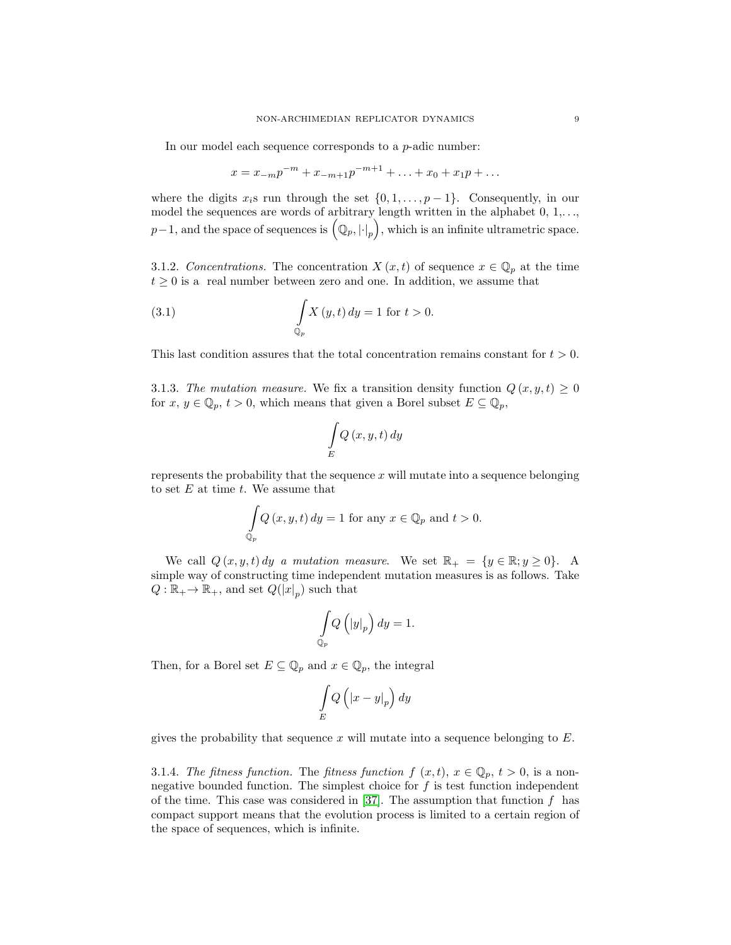In our model each sequence corresponds to a  $p$ -adic number:

$$
x = x_{-m}p^{-m} + x_{-m+1}p^{-m+1} + \ldots + x_0 + x_1p + \ldots
$$

where the digits  $x_i$ s run through the set  $\{0, 1, \ldots, p-1\}$ . Consequently, in our model the sequences are words of arbitrary length written in the alphabet  $0, 1, \ldots$ ,  $p-1$ , and the space of sequences is  $(\mathbb{Q}_p, |\cdot|_p)$ , which is an infinite ultrametric space.

3.1.2. *Concentrations*. The concentration  $X(x,t)$  of sequence  $x \in \mathbb{Q}_p$  at the time  $t \geq 0$  is a real number between zero and one. In addition, we assume that

(3.1) 
$$
\int_{\mathbb{Q}_p} X(y, t) dy = 1 \text{ for } t > 0.
$$

This last condition assures that the total concentration remains constant for  $t > 0$ .

3.1.3. The mutation measure. We fix a transition density function  $Q(x, y, t) \geq 0$ for  $x, y \in \mathbb{Q}_p$ ,  $t > 0$ , which means that given a Borel subset  $E \subseteq \mathbb{Q}_p$ ,

$$
\int\limits_{E} Q\left(x,y,t\right) dy
$$

represents the probability that the sequence  $x$  will mutate into a sequence belonging to set  $E$  at time  $t$ . We assume that

$$
\int_{\mathbb{Q}_p} Q(x, y, t) dy = 1 \text{ for any } x \in \mathbb{Q}_p \text{ and } t > 0.
$$

We call  $Q(x, y, t) dy$  *a mutation measure*. We set  $\mathbb{R}_+ = \{y \in \mathbb{R}; y \ge 0\}$ . A simple way of constructing time independent mutation measures is as follows. Take  $Q: \mathbb{R}_+ \to \mathbb{R}_+$ , and set  $Q(|x|_p)$  such that

$$
\int\limits_{{\Bbb Q}_p} Q\left( \left| y \right| _p \right) dy = 1.
$$

Then, for a Borel set  $E \subseteq \mathbb{Q}_p$  and  $x \in \mathbb{Q}_p$ , the integral

$$
\int\limits_E Q\left(\left|x-y\right|_p\right)dy
$$

gives the probability that sequence x will mutate into a sequence belonging to  $E$ .

3.1.4. *The fitness function.* The *fitness function*  $f(x, t)$ ,  $x \in \mathbb{Q}_p$ ,  $t > 0$ , is a nonnegative bounded function. The simplest choice for  $f$  is test function independent of the time. This case was considered in [\[37\]](#page-26-4). The assumption that function  $f$  has compact support means that the evolution process is limited to a certain region of the space of sequences, which is infinite.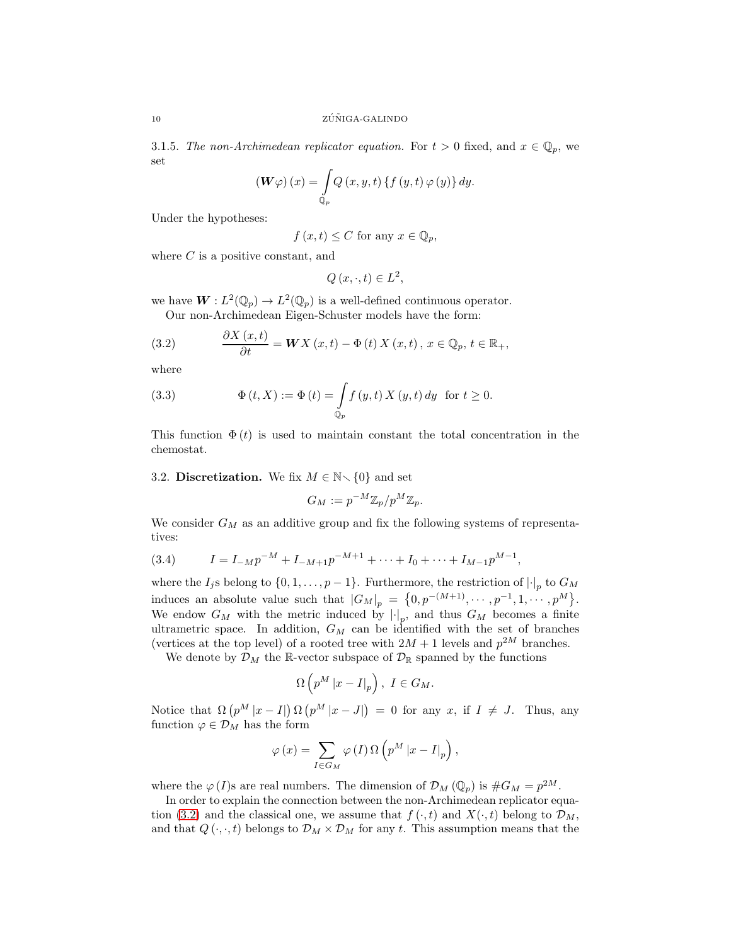3.1.5. *The non-Archimedean replicator equation*. For  $t > 0$  fixed, and  $x \in \mathbb{Q}_p$ , we set

$$
\left(\boldsymbol{W}\varphi\right)(x) = \int_{\mathbb{Q}_p} Q(x, y, t) \left\{ f\left(y, t\right) \varphi\left(y\right) \right\} dy.
$$

Under the hypotheses:

$$
f(x,t) \leq C
$$
 for any  $x \in \mathbb{Q}_p$ ,

where  $C$  is a positive constant, and

$$
Q(x, \cdot, t) \in L^2
$$

we have  $W: L^2(\mathbb{Q}_p) \to L^2(\mathbb{Q}_p)$  is a well-defined continuous operator. Our non-Archimedean Eigen-Schuster models have the form:

<span id="page-10-0"></span>(3.2) 
$$
\frac{\partial X(x,t)}{\partial t} = \boldsymbol{W} X(x,t) - \Phi(t) X(x,t), x \in \mathbb{Q}_p, t \in \mathbb{R}_+,
$$

where

<span id="page-10-1"></span>(3.3) 
$$
\Phi(t, X) := \Phi(t) = \int_{\mathbb{Q}_p} f(y, t) X(y, t) dy \text{ for } t \ge 0.
$$

This function  $\Phi(t)$  is used to maintain constant the total concentration in the chemostat.

#### 3.2. Discretization. We fix  $M \in \mathbb{N} \setminus \{0\}$  and set

$$
G_M := p^{-M} \mathbb{Z}_p / p^M \mathbb{Z}_p.
$$

We consider  $G_M$  as an additive group and fix the following systems of representatives:

(3.4) 
$$
I = I_{-M}p^{-M} + I_{-M+1}p^{-M+1} + \cdots + I_0 + \cdots + I_{M-1}p^{M-1},
$$

where the  $I_j$ s belong to  $\{0, 1, \ldots, p-1\}$ . Furthermore, the restriction of  $\lvert \cdot \rvert_p$  to  $G_M$ induces an absolute value such that  $|G_M|_p = \{0, p^{-(M+1)}, \cdots, p^{-1}, 1, \cdots, p^M\}.$ We endow  $G_M$  with the metric induced by  $\lvert \cdot \rvert_p$ , and thus  $G_M$  becomes a finite ultrametric space. In addition,  $G_M$  can be identified with the set of branches (vertices at the top level) of a rooted tree with  $2M + 1$  levels and  $p^{2M}$  branches.

We denote by  $\mathcal{D}_M$  the R-vector subspace of  $\mathcal{D}_\mathbb{R}$  spanned by the functions

$$
\Omega\left(p^M|x-I|_p\right),\ I\in G_M.
$$

Notice that  $\Omega(p^M |x - I|) \Omega(p^M |x - J|) = 0$  for any x, if  $I \neq J$ . Thus, any function  $\varphi \in \mathcal{D}_M$  has the form

$$
\varphi\left(x\right)=\sum_{I\in G_{M}}\varphi\left(I\right)\Omega\left(p^{M}\left|x-I\right|_{p}\right),
$$

where the  $\varphi(I)$ s are real numbers. The dimension of  $\mathcal{D}_M(\mathbb{Q}_p)$  is  $\#G_M = p^{2M}$ .

In order to explain the connection between the non-Archimedean replicator equa-tion [\(3.2\)](#page-10-0) and the classical one, we assume that  $f(\cdot, t)$  and  $X(\cdot, t)$  belong to  $\mathcal{D}_M$ , and that  $Q(\cdot, \cdot, t)$  belongs to  $\mathcal{D}_M \times \mathcal{D}_M$  for any t. This assumption means that the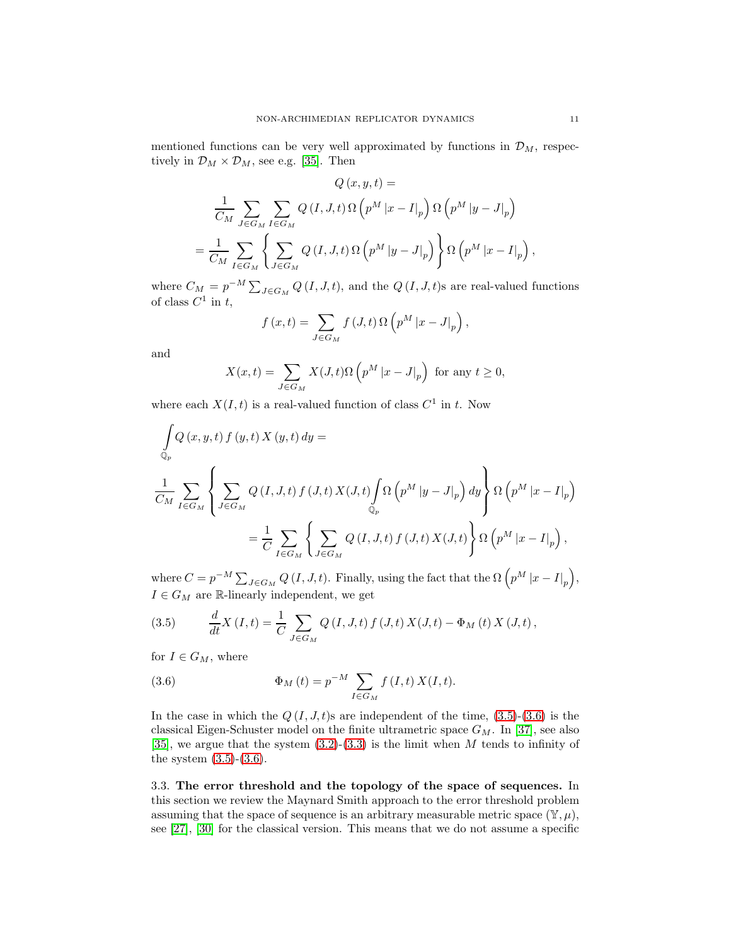mentioned functions can be very well approximated by functions in  $\mathcal{D}_M$ , respectively in  $\mathcal{D}_M \times \mathcal{D}_M$ , see e.g. [\[35\]](#page-26-5). Then

$$
Q(x, y, t) =
$$
  

$$
\frac{1}{C_M} \sum_{J \in G_M} \sum_{I \in G_M} Q(I, J, t) \Omega(p^M |x - I|_p) \Omega(p^M |y - J|_p)
$$
  

$$
= \frac{1}{C_M} \sum_{I \in G_M} \left\{ \sum_{J \in G_M} Q(I, J, t) \Omega(p^M |y - J|_p) \right\} \Omega(p^M |x - I|_p),
$$

where  $C_M = p^{-M} \sum_{J \in G_M} Q(I, J, t)$ , and the  $Q(I, J, t)$ s are real-valued functions of class  $C^1$  in t,

$$
f(x,t) = \sum_{J \in G_M} f(J,t) \Omega \left( p^M |x-J|_p \right),
$$

and

$$
X(x,t) = \sum_{J \in G_M} X(J,t) \Omega \left( p^M |x - J|_p \right) \text{ for any } t \ge 0,
$$

where each  $X(I, t)$  is a real-valued function of class  $C^1$  in t. Now

$$
\int_{\mathbb{Q}_p} Q(x, y, t) f(y, t) X(y, t) dy =
$$
\n
$$
\frac{1}{C_M} \sum_{I \in G_M} \left\{ \sum_{J \in G_M} Q(I, J, t) f(J, t) X(J, t) \int_{\mathbb{Q}_p} \Omega(p^M |y - J|_p) dy \right\} \Omega(p^M |x - I|_p)
$$
\n
$$
= \frac{1}{C} \sum_{I \in G_M} \left\{ \sum_{J \in G_M} Q(I, J, t) f(J, t) X(J, t) \right\} \Omega(p^M |x - I|_p),
$$

where  $C = p^{-M} \sum_{J \in G_M} Q(I, J, t)$ . Finally, using the fact that the  $\Omega(p^M |x - I|_p)$ ,  $I \in G_M$  are R-linearly independent, we get

<span id="page-11-1"></span>(3.5) 
$$
\frac{d}{dt}X(I,t) = \frac{1}{C} \sum_{J \in G_M} Q(I,J,t) f(J,t) X(J,t) - \Phi_M(t) X(J,t),
$$

for  $I \in G_M$ , where

<span id="page-11-2"></span>(3.6) 
$$
\Phi_M(t) = p^{-M} \sum_{I \in G_M} f(I, t) X(I, t).
$$

In the case in which the  $Q(I, J, t)$ s are independent of the time,  $(3.5)-(3.6)$  $(3.5)-(3.6)$  is the classical Eigen-Schuster model on the finite ultrametric space  $G_M$ . In [\[37\]](#page-26-4), see also [\[35\]](#page-26-5), we argue that the system  $(3.2)-(3.3)$  $(3.2)-(3.3)$  is the limit when M tends to infinity of the system  $(3.5)-(3.6)$  $(3.5)-(3.6)$ .

<span id="page-11-0"></span>3.3. The error threshold and the topology of the space of sequences. In this section we review the Maynard Smith approach to the error threshold problem assuming that the space of sequence is an arbitrary measurable metric space  $(\mathbb{Y}, \mu)$ , see [27], [\[30\]](#page-26-8) for the classical version. This means that we do not assume a specific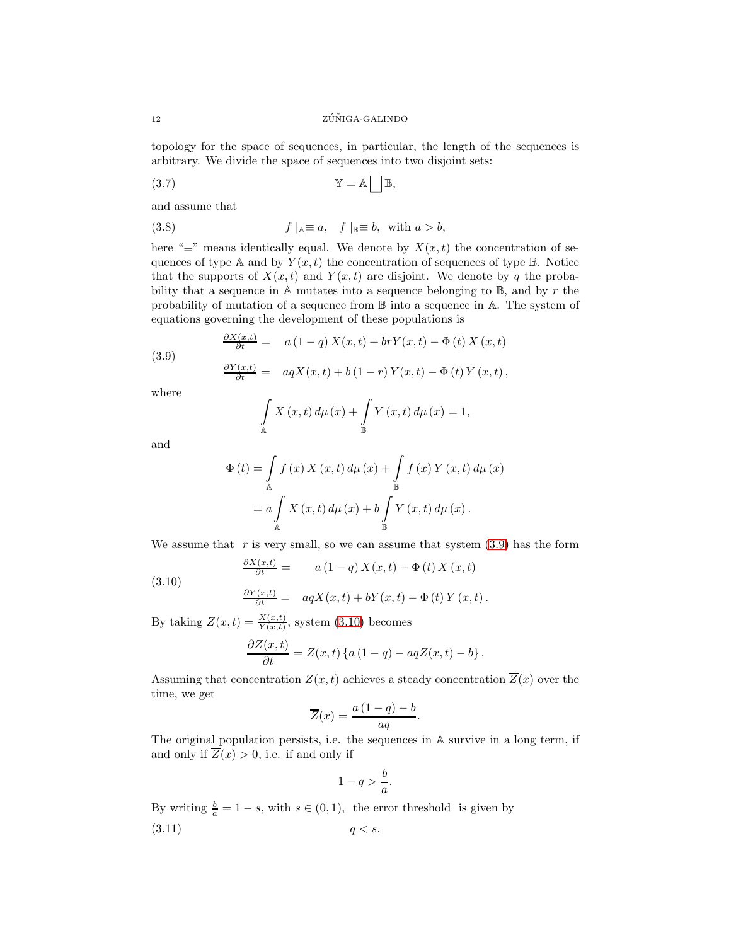topology for the space of sequences, in particular, the length of the sequences is arbitrary. We divide the space of sequences into two disjoint sets:

$$
\mathbb{Y} = \mathbb{A} \left| \begin{array}{c} \end{array} \right| \mathbb{B},
$$

and assume that

(3.8) 
$$
f \mid_{\mathbb{A}} \equiv a, \quad f \mid_{\mathbb{B}} \equiv b, \text{ with } a > b,
$$

here " $\equiv$ " means identically equal. We denote by  $X(x, t)$  the concentration of sequences of type A and by  $Y(x, t)$  the concentration of sequences of type B. Notice that the supports of  $X(x,t)$  and  $Y(x,t)$  are disjoint. We denote by q the probability that a sequence in  $A$  mutates into a sequence belonging to  $B$ , and by r the probability of mutation of a sequence from B into a sequence in A. The system of equations governing the development of these populations is

<span id="page-12-0"></span>
$$
\frac{\partial X(x,t)}{\partial t} = a (1-q) X(x,t) + br Y(x,t) - \Phi(t) X(x,t)
$$

$$
\frac{\partial Y(x,t)}{\partial t} = a q X(x,t) + b (1-r) Y(x,t) - \Phi(t) Y(x,t),
$$

where

(3.9)

$$
\int_{\mathbb{A}} X(x,t) d\mu(x) + \int_{\mathbb{B}} Y(x,t) d\mu(x) = 1,
$$

and

$$
\Phi(t) = \int_{\mathbb{A}} f(x) X(x, t) d\mu(x) + \int_{\mathbb{B}} f(x) Y(x, t) d\mu(x)
$$
  
=  $a \int_{\mathbb{A}} X(x, t) d\mu(x) + b \int_{\mathbb{B}} Y(x, t) d\mu(x).$ 

We assume that  $r$  is very small, so we can assume that system  $(3.9)$  has the form

$$
\frac{\partial X(x,t)}{\partial t} = a(1-q) X(x,t) - \Phi(t) X(x,t)
$$

$$
(3.10)
$$

<span id="page-12-1"></span>
$$
\frac{\partial Y(x,t)}{\partial t} = aqX(x,t) + bY(x,t) - \Phi(t)Y(x,t).
$$

By taking  $Z(x,t) = \frac{X(x,t)}{Y(x,t)}$ , system [\(3.10\)](#page-12-1) becomes

$$
\frac{\partial Z(x,t)}{\partial t} = Z(x,t) \left\{ a \left( 1 - q \right) - aq Z(x,t) - b \right\}.
$$

Assuming that concentration  $Z(x, t)$  achieves a steady concentration  $\overline{Z}(x)$  over the time, we get

$$
\overline{Z}(x) = \frac{a(1-q)-b}{aq}.
$$

The original population persists, i.e. the sequences in A survive in a long term, if and only if  $\overline{Z}(x) > 0$ , i.e. if and only if

<span id="page-12-2"></span>
$$
1 - q > \frac{b}{a}.
$$

By writing  $\frac{b}{a} = 1 - s$ , with  $s \in (0, 1)$ , the error threshold is given by  $(3.11)$   $q < s$ .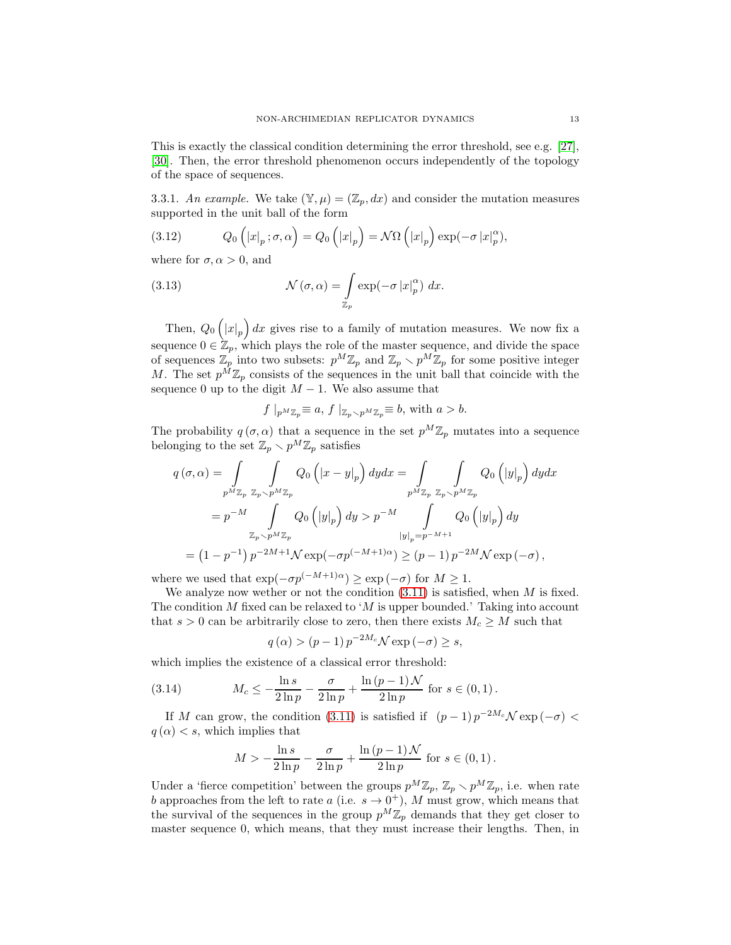This is exactly the classical condition determining the error threshold, see e.g. [27], [\[30\]](#page-26-8). Then, the error threshold phenomenon occurs independently of the topology of the space of sequences.

3.3.1. An example. We take  $(\mathbb{Y}, \mu) = (\mathbb{Z}_p, dx)$  and consider the mutation measures supported in the unit ball of the form

(3.12) 
$$
Q_0\left(|x|_p;\sigma,\alpha\right) = Q_0\left(|x|_p\right) = \mathcal{N}\Omega\left(|x|_p\right) \exp(-\sigma |x|_p^{\alpha}),
$$

where for  $\sigma, \alpha > 0$ , and

(3.13) 
$$
\mathcal{N}(\sigma, \alpha) = \int_{\mathbb{Z}_p} \exp(-\sigma |x|_p^{\alpha}) dx.
$$

Then,  $Q_0(|x|_p) dx$  gives rise to a family of mutation measures. We now fix a sequence  $0 \in \mathbb{Z}_p$ , which plays the role of the master sequence, and divide the space of sequences  $\mathbb{Z}_p$  into two subsets:  $p^M \mathbb{Z}_p$  and  $\mathbb{Z}_p \setminus p^M \mathbb{Z}_p$  for some positive integer M. The set  $p^{\tilde{M}}\mathbb{Z}_p$  consists of the sequences in the unit ball that coincide with the sequence 0 up to the digit  $M - 1$ . We also assume that

$$
f\mid_{p^M\mathbb{Z}_p}\equiv a, f\mid_{\mathbb{Z}_p\setminus p^M\mathbb{Z}_p}\equiv b, \text{ with } a>b.
$$

The probability  $q(\sigma, \alpha)$  that a sequence in the set  $p^M \mathbb{Z}_p$  mutates into a sequence belonging to the set  $\mathbb{Z}_p \setminus p^M \mathbb{Z}_p$  satisfies

$$
q(\sigma, \alpha) = \int_{p^M \mathbb{Z}_p} \int_{\mathbb{Z}_p \setminus p^M \mathbb{Z}_p} Q_0 \left( |x - y|_p \right) dy dx = \int_{p^M \mathbb{Z}_p} \int_{\mathbb{Z}_p \setminus p^M \mathbb{Z}_p} Q_0 \left( |y|_p \right) dy dx
$$
  

$$
= p^{-M} \int_{\mathbb{Z}_p \setminus p^M \mathbb{Z}_p} Q_0 \left( |y|_p \right) dy > p^{-M} \int_{|y|_p = p^{-M+1}} Q_0 \left( |y|_p \right) dy
$$
  

$$
= (1 - p^{-1}) p^{-2M+1} \mathcal{N} \exp(-\sigma p^{(-M+1)\alpha}) \ge (p - 1) p^{-2M} \mathcal{N} \exp(-\sigma),
$$

where we used that  $\exp(-\sigma p^{(-M+1)\alpha}) \ge \exp(-\sigma)$  for  $M \ge 1$ .

We analyze now wether or not the condition  $(3.11)$  is satisfied, when M is fixed. The condition M fixed can be relaxed to 'M is upper bounded.' Taking into account that  $s > 0$  can be arbitrarily close to zero, then there exists  $M_c \geq M$  such that

$$
q(\alpha) > (p-1) p^{-2M_c} \mathcal{N} \exp(-\sigma) \geq s,
$$

which implies the existence of a classical error threshold:

(3.14) 
$$
M_c \le -\frac{\ln s}{2\ln p} - \frac{\sigma}{2\ln p} + \frac{\ln (p-1) \mathcal{N}}{2\ln p} \text{ for } s \in (0,1).
$$

If M can grow, the condition [\(3.11\)](#page-12-2) is satisfied if  $(p-1)p^{-2M_c}\mathcal{N}\exp(-\sigma)$  $q(\alpha) < s$ , which implies that

$$
M > -\frac{\ln s}{2\ln p} - \frac{\sigma}{2\ln p} + \frac{\ln (p-1) \mathcal{N}}{2\ln p} \text{ for } s \in (0,1).
$$

Under a 'fierce competition' between the groups  $p^M \mathbb{Z}_p$ ,  $\mathbb{Z}_p \setminus p^M \mathbb{Z}_p$ , i.e. when rate b approaches from the left to rate a (i.e.  $s \to 0^+$ ), M must grow, which means that the survival of the sequences in the group  $p^M \mathbb{Z}_p$  demands that they get closer to master sequence 0, which means, that they must increase their lengths. Then, in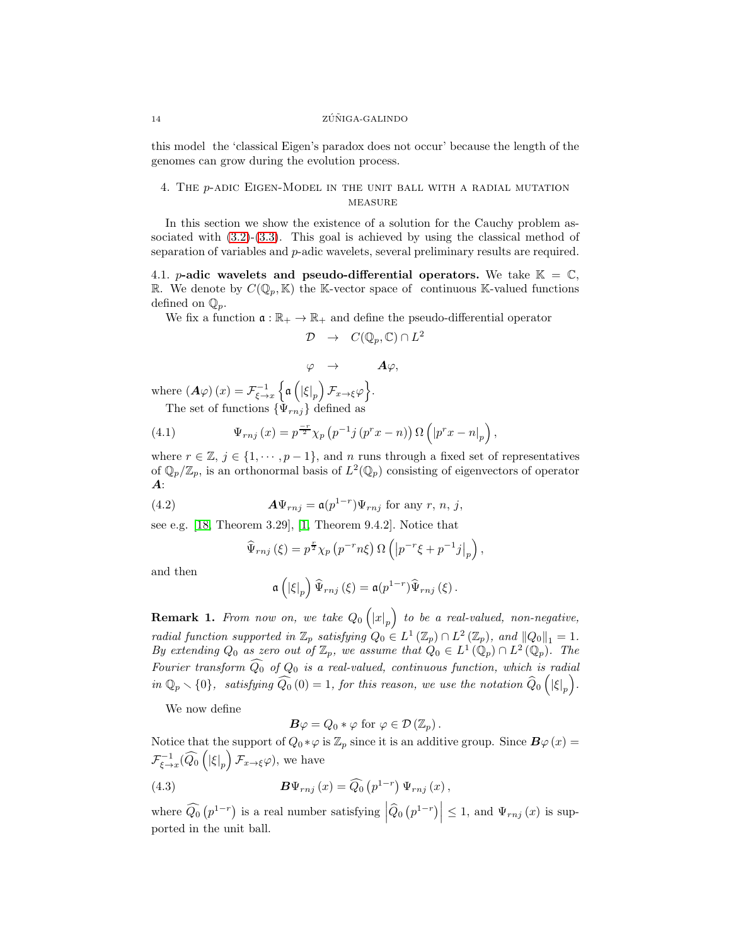#### 14 ZÚÑIGA-GALINDO

this model the 'classical Eigen's paradox does not occur' because the length of the genomes can grow during the evolution process.

### <span id="page-14-0"></span>4. The p-adic Eigen-Model in the unit ball with a radial mutation **MEASURE**

In this section we show the existence of a solution for the Cauchy problem associated with  $(3.2)-(3.3)$  $(3.2)-(3.3)$ . This goal is achieved by using the classical method of separation of variables and p-adic wavelets, several preliminary results are required.

4.1. *p*-adic wavelets and pseudo-differential operators. We take  $\mathbb{K} = \mathbb{C}$ , R. We denote by  $C(\mathbb{Q}_p, \mathbb{K})$  the K-vector space of continuous K-valued functions defined on  $\mathbb{Q}_p$ .

We fix a function  $\mathfrak{a} : \mathbb{R}_+ \to \mathbb{R}_+$  and define the pseudo-differential operator

$$
\mathcal{D} \quad \rightarrow \quad C(\mathbb{Q}_p, \mathbb{C}) \cap L^2
$$

$$
\varphi \quad \rightarrow \qquad \quad A\varphi,
$$

where  $(A\varphi)(x) = \mathcal{F}_{\xi \to x}^{-1} \left\{ \mathfrak{a} \left( \left| \xi \right|_p \right) \mathcal{F}_{x \to \xi} \varphi \right\}.$ The set of functions  $\{\Psi_{rnj}\}\$  defined as

<span id="page-14-1"></span>(4.1) 
$$
\Psi_{rnj}(x) = p^{\frac{-r}{2}} \chi_p(p^{-1}j(p^r x - n)) \Omega\left(|p^r x - n|_p\right),
$$

where  $r \in \mathbb{Z}, j \in \{1, \cdots, p-1\}$ , and n runs through a fixed set of representatives of  $\mathbb{Q}_p/\mathbb{Z}_p$ , is an orthonormal basis of  $L^2(\mathbb{Q}_p)$  consisting of eigenvectors of operator  $\boldsymbol{A}$ :

(4.2) 
$$
\mathbf{A}\Psi_{rnj} = \mathfrak{a}(p^{1-r})\Psi_{rnj} \text{ for any } r, n, j,
$$

see e.g. [\[18,](#page-25-2) Theorem 3.29], [1, Theorem 9.4.2]. Notice that

$$
\widehat{\Psi}_{rnj}(\xi) = p^{\frac{r}{2}} \chi_p(p^{-r} n \xi) \Omega \left( \left| p^{-r} \xi + p^{-1} j \right|_p \right),
$$

and then

$$
\mathfrak{a}\left(\left|\xi\right|_p\right)\widehat{\Psi}_{rnj}\left(\xi\right)=\mathfrak{a}(p^{1-r})\widehat{\Psi}_{rnj}\left(\xi\right).
$$

**Remark 1.** From now on, we take  $Q_0(|x|_p)$  to be a real-valued, non-negative, *radial function supported in*  $\mathbb{Z}_p$  *satisfying*  $Q_0 \in L^1(\mathbb{Z}_p) \cap L^2(\mathbb{Z}_p)$ *, and*  $||Q_0||_1 = 1$ *. By extending*  $Q_0$  *as zero out of*  $\mathbb{Z}_p$ *, we assume that*  $Q_0 \in L^1(\mathbb{Q}_p) \cap L^2(\mathbb{Q}_p)$ *. The Fourier transform*  $\widehat{Q_0}$  *of*  $Q_0$  *is a real-valued, continuous function, which is radial*  $in \mathbb{Q}_p \setminus \{0\}$ , satisfying  $\widetilde{Q_0}(0) = 1$ , for this reason, we use the notation  $\widehat{Q}_0(|\xi|_p)$ .

We now define

 $\mathbf{B}\varphi = Q_0 * \varphi$  for  $\varphi \in \mathcal{D}(\mathbb{Z}_p)$ .

Notice that the support of  $Q_0 * \varphi$  is  $\mathbb{Z}_p$  since it is an additive group. Since  $\mathbf{B}\varphi(x) =$  $\mathcal{F}_{\xi \to x}^{-1}(\widehat{Q_0}([\xi|_p) \mathcal{F}_{x \to \xi} \varphi),$  we have

(4.3) 
$$
\mathbf{B}\Psi_{rnj}\left(x\right) = \widehat{Q_0}\left(p^{1-r}\right)\Psi_{rnj}\left(x\right),\,
$$

where  $\widehat{Q_0}(p^{1-r})$  is a real number satisfying  $|\widehat{Q}_0(p^{1-r})| \leq 1$ , and  $\Psi_{rnj}(x)$  is supported in the unit ball.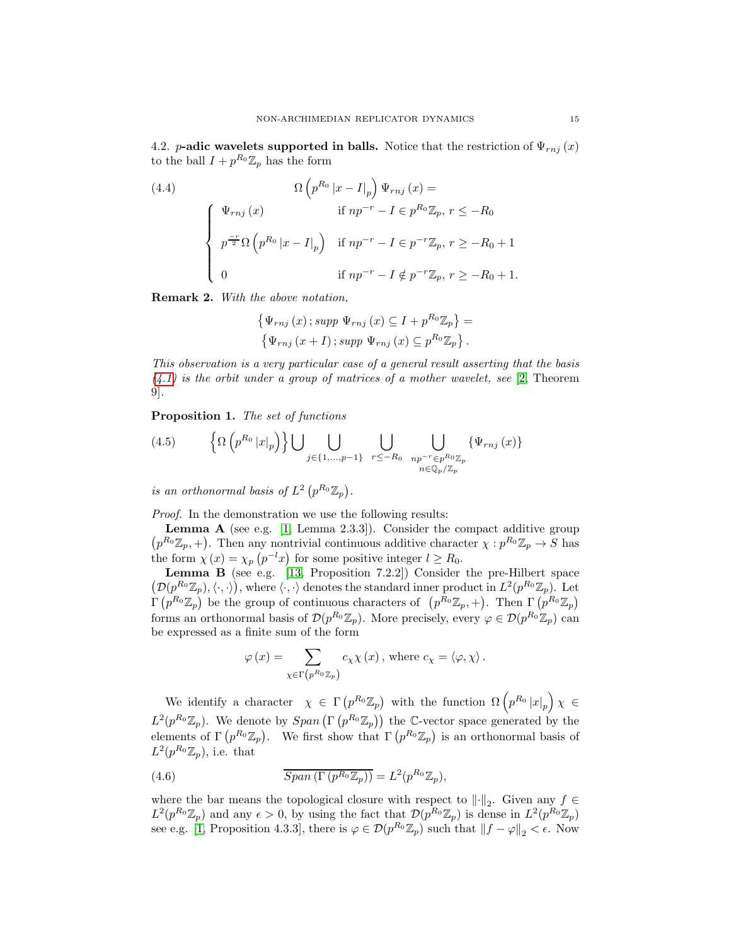4.2. p-adic wavelets supported in balls. Notice that the restriction of  $\Psi_{rnj}(x)$ to the ball  $I + p^{R_0} \mathbb{Z}_p$  has the form

<span id="page-15-2"></span>(4.4)  
\n
$$
\Omega\left(p^{R_0} |x - I|_p\right) \Psi_{rnj}(x) =
$$
\n
$$
\begin{cases}\n\Psi_{rnj}(x) & \text{if } np^{-r} - I \in p^{R_0} \mathbb{Z}_p, r \leq -R_0 \\
p^{\frac{-r}{2}} \Omega\left(p^{R_0} |x - I|_p\right) & \text{if } np^{-r} - I \in p^{-r} \mathbb{Z}_p, r \geq -R_0 + 1 \\
0 & \text{if } np^{-r} - I \notin p^{-r} \mathbb{Z}_p, r \geq -R_0 + 1.\n\end{cases}
$$

<span id="page-15-3"></span>Remark 2. *With the above notation,*

$$
\{\Psi_{rnj}(x); supp \ \Psi_{rnj}(x) \subseteq I + p^{R_0} \mathbb{Z}_p\} =
$$
  

$$
\{\Psi_{rnj}(x+I); supp \ \Psi_{rnj}(x) \subseteq p^{R_0} \mathbb{Z}_p\}.
$$

*This observation is a very particular case of a general result asserting that the basis [\(4.1\)](#page-14-1) is the orbit under a group of matrices of a mother wavelet, see* [\[2,](#page-25-11) Theorem 9]*.*

Proposition 1. *The set of functions*

<span id="page-15-1"></span>(4.5) 
$$
\left\{ \Omega \left( p^{R_0} |x|_p \right) \right\} \bigcup_{j \in \{1, ..., p-1\}} \bigcup_{r \leq -R_0} \bigcup_{\substack{np^{-r} \in p^{R_0} \mathbb{Z}_p \\ n \in \mathbb{Q}_p / \mathbb{Z}_p}} \{ \Psi_{rnj} (x) \}
$$

*is an orthonormal basis of*  $L^2(p^{R_0}\mathbb{Z}_p)$ .

*Proof.* In the demonstration we use the following results:

**Lemma A** (see e.g. [1, Lemma 2.3.3]). Consider the compact additive group  $(p^{R_0}\mathbb{Z}_p, +)$ . Then any nontrivial continuous additive character  $\chi : p^{R_0}\mathbb{Z}_p \to S$  has the form  $\chi(x) = \chi_p(p^{-l}x)$  for some positive integer  $l \geq R_0$ .

**Lemma B** (see e.g. [\[13,](#page-25-12) Proposition 7.2.2]) Consider the pre-Hilbert space  $(\mathcal{D}(p^{R_0}\mathbb{Z}_p), \langle \cdot, \cdot \rangle),$  where  $\langle \cdot, \cdot \rangle$  denotes the standard inner product in  $L^2(p^{R_0}\mathbb{Z}_p).$  Let  $\Gamma(p^{R_0}\mathbb{Z}_p)$  be the group of continuous characters of  $(p^{R_0}\mathbb{Z}_p, +)$ . Then  $\Gamma(p^{R_0}\mathbb{Z}_p)$ forms an orthonormal basis of  $\mathcal{D}(p^{R_0}\mathbb{Z}_p)$ . More precisely, every  $\varphi \in \mathcal{D}(p^{R_0}\mathbb{Z}_p)$  can be expressed as a finite sum of the form

<span id="page-15-0"></span>
$$
\varphi\left(x\right)=\sum_{\chi\in\Gamma\left(p^{R_{0}}\mathbb{Z}_{p}\right)}c_{\chi}\chi\left(x\right),\,\text{where}\;c_{\chi}=\left\langle \varphi,\chi\right\rangle .
$$

We identify a character  $\chi \in \Gamma(p^{R_0} \mathbb{Z}_p)$  with the function  $\Omega(p^{R_0} |x|_p) \chi \in$  $L^2(p^{R_0}\mathbb{Z}_p)$ . We denote by  $Span\left(\Gamma\left(p^{R_0}\mathbb{Z}_p\right)\right)$  the C-vector space generated by the elements of  $\Gamma(p^{R_0}\mathbb{Z}_p)$ . We first show that  $\Gamma(p^{R_0}\mathbb{Z}_p)$  is an orthonormal basis of  $L^2(p^{R_0}\mathbb{Z}_p)$ , i.e. that

(4.6) 
$$
\overline{Span\left(\Gamma\left(p^{R_0}\mathbb{Z}_p\right)\right)} = L^2(p^{R_0}\mathbb{Z}_p),
$$

where the bar means the topological closure with respect to  $\lVert \cdot \rVert_2$ . Given any  $f \in$  $L^2(p^{R_0}\mathbb{Z}_p)$  and any  $\epsilon > 0$ , by using the fact that  $\mathcal{D}(p^{R_0}\mathbb{Z}_p)$  is dense in  $L^2(p^{R_0}\mathbb{Z}_p)$ see e.g. [1, Proposition 4.3.3], there is  $\varphi \in \mathcal{D}(p^{R_0}\mathbb{Z}_p)$  such that  $||f - \varphi||_2 < \epsilon$ . Now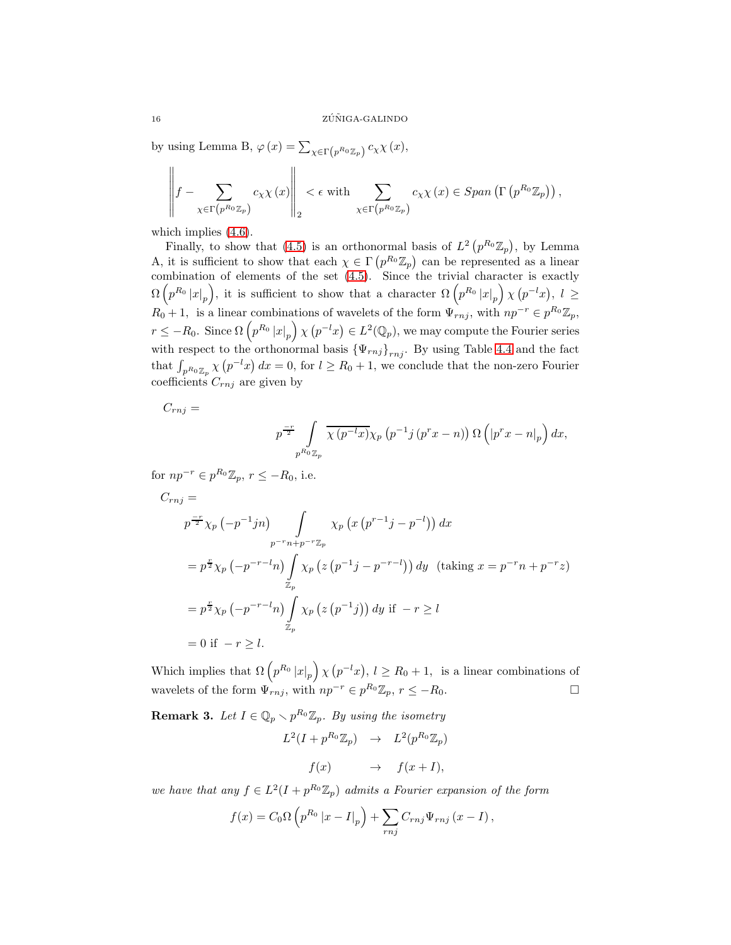by using Lemma B,  $\varphi(x) = \sum_{\chi \in \Gamma(p^{R_0} \mathbb{Z}_p)} c_{\chi} \chi(x)$ ,

$$
\left\|f - \sum_{\chi \in \Gamma\left(p^{R_0} \mathbb{Z}_p\right)} c_{\chi} \chi\left(x\right)\right\|_2 < \epsilon \text{ with } \sum_{\chi \in \Gamma\left(p^{R_0} \mathbb{Z}_p\right)} c_{\chi} \chi\left(x\right) \in Span\left(\Gamma\left(p^{R_0} \mathbb{Z}_p\right)\right),
$$

which implies  $(4.6)$ .

Finally, to show that [\(4.5\)](#page-15-1) is an orthonormal basis of  $L^2(p^{R_0}\mathbb{Z}_p)$ , by Lemma A, it is sufficient to show that each  $\chi \in \Gamma(p^{R_0} \mathbb{Z}_p)$  can be represented as a linear combination of elements of the set  $(4.5)$ . Since the trivial character is exactly  $\Omega\left(p^{R_0} |x|_p\right)$ , it is sufficient to show that a character  $\Omega\left(p^{R_0} |x|_p\right) \chi\left(p^{-l}x\right)$ ,  $l \geq$  $R_0 + 1$ , is a linear combinations of wavelets of the form  $\Psi_{rnj}$ , with  $np^{-r} \in p^{R_0} \mathbb{Z}_p$ ,  $r \leq -R_0$ . Since  $\Omega\left(p^{R_0} |x|_p\right) \chi\left(p^{-l}x\right) \in L^2(\mathbb{Q}_p)$ , we may compute the Fourier series with respect to the orthonormal basis  $\{\Psi_{rnj}\}_{rnj}$ . By using Table [4.4](#page-15-2) and the fact that  $\int_{p^{R_0}\mathbb{Z}_p} \chi(p^{-l}x) dx = 0$ , for  $l \geq R_0 + 1$ , we conclude that the non-zero Fourier coefficients  $C_{rnj}$  are given by

 $C_{rnj} =$ 

$$
p^{\frac{-r}{2}} \int\limits_{p^{R_0}\mathbb{Z}_p} \overline{\chi(p^{-l}x)} \chi_p(p^{-1}j(p^r x - n)) \Omega\left(|p^r x - n|_p\right) dx,
$$

for  $np^{-r} \in p^{R_0} \mathbb{Z}_p$ ,  $r \leq -R_0$ , i.e.

$$
C_{rnj} =
$$
  
\n
$$
p^{-r} \chi_p(-p^{-1}jn) \int_{p^{-r}n+p^{-r}\mathbb{Z}_p} \chi_p(x(p^{r-1}j-p^{-l})) dx
$$
  
\n
$$
= p^{\frac{r}{2}} \chi_p(-p^{-r-l}n) \int_{\mathbb{Z}_p} \chi_p(z(p^{-1}j-p^{-r-l})) dy \text{ (taking } x = p^{-r}n+p^{-r}z)
$$
  
\n
$$
= p^{\frac{r}{2}} \chi_p(-p^{-r-l}n) \int_{\mathbb{Z}_p} \chi_p(z(p^{-1}j)) dy \text{ if } -r \ge l
$$
  
\n
$$
= 0 \text{ if } -r \ge l.
$$

Which implies that  $\Omega\left(p^{R_0} |x|_p\right) \chi\left(p^{-l}x\right), l \geq R_0 + 1$ , is a linear combinations of wavelets of the form  $\Psi_{rnj}$ , with  $np^{-r} \in p^{R_0} \mathbb{Z}_p$ ,  $r \leq -R_0$ .

**Remark 3.** Let  $I \in \mathbb{Q}_p \setminus p^{R_0} \mathbb{Z}_p$ . By using the isometry

$$
L^2(I + p^{R_0} \mathbb{Z}_p) \rightarrow L^2(p^{R_0} \mathbb{Z}_p)
$$
  

$$
f(x) \rightarrow f(x+I),
$$

*we have that any*  $f \in L^2(I + p^{R_0} \mathbb{Z}_p)$  *admits a Fourier expansion of the form* 

$$
f(x) = C_0 \Omega \left( p^{R_0} \left| x - I \right|_p \right) + \sum_{rnj} C_{rnj} \Psi_{rnj} \left( x - I \right),
$$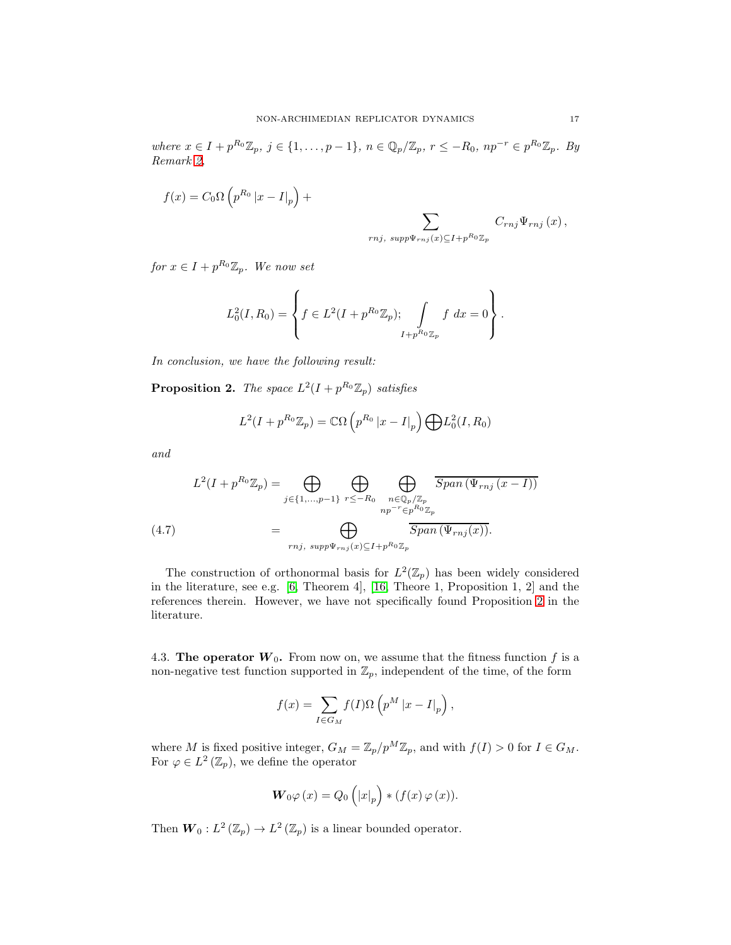$where \; x \in I + p^{R_0} \mathbb{Z}_p, \; j \in \{1, \ldots, p-1\}, \; n \in \mathbb{Q}_p/\mathbb{Z}_p, \; r \leq -R_0, \; np^{-r} \in p^{R_0} \mathbb{Z}_p.$  *By Remark [2,](#page-15-3)*

$$
f(x) = C_0 \Omega \left( p^{R_0} |x - I|_p \right) + \sum_{rnj, \ supp \Psi_{rnj}(x) \subseteq I + p^{R_0} \mathbb{Z}_p} C_{rnj} \Psi_{rnj}(x),
$$

 $for x \in I + p^{R_0} \mathbb{Z}_p$ *. We now set* 

$$
L_0^2(I, R_0) = \left\{ f \in L^2(I + p^{R_0} \mathbb{Z}_p); \int\limits_{I + p^{R_0} \mathbb{Z}_p} f \, dx = 0 \right\}.
$$

*In conclusion, we have the following result:*

<span id="page-17-0"></span>**Proposition 2.** The space  $L^2(I + p^{R_0} \mathbb{Z}_p)$  satisfies

$$
L^2(I + p^{R_0} \mathbb{Z}_p) = \mathbb{C}\Omega\left(p^{R_0} |x - I|_p\right) \bigoplus L_0^2(I, R_0)
$$

*and*

<span id="page-17-1"></span>
$$
L^{2}(I + p^{R_{0}}\mathbb{Z}_{p}) = \bigoplus_{j \in \{1, ..., p-1\}} \bigoplus_{r \leq -R_{0}} \bigoplus_{\substack{n \in \mathbb{Q}_{p}/\mathbb{Z}_{p} \\ np^{-r} \in p^{R_{0}}\mathbb{Z}_{p}}} \overline{Span\left(\Psi_{rnj}\left(x - I\right)\right)}
$$
\n
$$
= \bigoplus_{rnj, \ supp \Psi_{rnj}(x) \subseteq I + p^{R_{0}}\mathbb{Z}_{p}} \overline{Span\left(\Psi_{rnj}(x)\right)}.
$$

The construction of orthonormal basis for  $L^2(\mathbb{Z}_p)$  has been widely considered in the literature, see e.g. [\[6,](#page-25-13) Theorem 4], [16, Theore 1, Proposition 1, 2] and the references therein. However, we have not specifically found Proposition [2](#page-17-0) in the literature.

4.3. The operator  $W_0$ . From now on, we assume that the fitness function f is a non-negative test function supported in  $\mathbb{Z}_p$ , independent of the time, of the form

$$
f(x) = \sum_{I \in G_M} f(I)\Omega \left( p^M |x - I|_p \right),
$$

where M is fixed positive integer,  $G_M = \mathbb{Z}_p/p^M \mathbb{Z}_p$ , and with  $f(I) > 0$  for  $I \in G_M$ . For  $\varphi \in L^2(\mathbb{Z}_p)$ , we define the operator

$$
\boldsymbol{W}_{0}\varphi\left(x\right)=Q_{0}\left(\left|x\right|_{p}\right)\ast\left(f(x)\,\varphi\left(x\right)\right).
$$

Then  $W_0: L^2(\mathbb{Z}_p) \to L^2(\mathbb{Z}_p)$  is a linear bounded operator.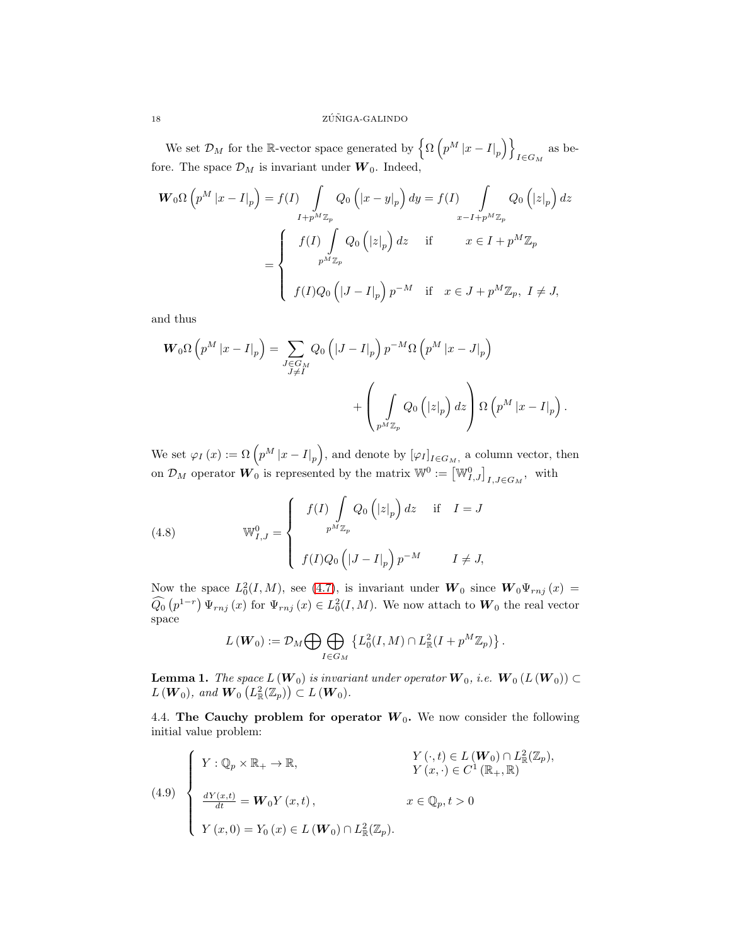We set  $\mathcal{D}_M$  for the R-vector space generated by  $\left\{ \Omega \left( p^M |x - I|_p \right) \right\}$ as be-<br> $I \in G_M$ fore. The space  $\mathcal{D}_M$  is invariant under  $\boldsymbol{W}_0$ . Indeed,

$$
\mathbf{W}_{0}\Omega\left(p^{M} |x-I|_{p}\right) = f(I) \int_{I+p^{M}\mathbb{Z}_{p}} Q_{0}\left(|x-y|_{p}\right) dy = f(I) \int_{x-I+p^{M}\mathbb{Z}_{p}} Q_{0}\left(|z|_{p}\right) dz
$$

$$
= \begin{cases} f(I) \int_{p^{M}\mathbb{Z}_{p}} Q_{0}\left(|z|_{p}\right) dz & \text{if } x \in I+p^{M}\mathbb{Z}_{p} \\ f(I)Q_{0}\left(|J-I|_{p}\right)p^{-M} & \text{if } x \in J+p^{M}\mathbb{Z}_{p}, I \neq J, \end{cases}
$$

and thus

$$
\mathbf{W}_{0}\Omega\left(p^{M} |x-I|_{p}\right) = \sum_{\substack{J \in G_{M} \\ J \neq I}} Q_{0} \left( |J - I|_{p}\right) p^{-M} \Omega\left(p^{M} |x-J|_{p}\right) + \left(\int_{p^{M}\mathbb{Z}_{p}} Q_{0} \left( |z|_{p}\right) dz\right) \Omega\left(p^{M} |x-I|_{p}\right).
$$

We set  $\varphi_I(x) := \Omega\left(p^M |x - I|_p\right)$ , and denote by  $[\varphi_I]_{I \in G_M}$ , a column vector, then on  $\mathcal{D}_M$  operator  $\overline{W}_0$  is represented by the matrix  $\mathbb{W}^0 := \left[\mathbb{W}_{I,J}^0\right]_{I,J \in G_M}$ , with

<span id="page-18-2"></span>(4.8) 
$$
\mathbb{W}_{I,J}^{0} = \begin{cases} f(I) \int_{p^M \mathbb{Z}_p} Q_0(|z|_p) dz & \text{if } I = J \\ f(I)Q_0(|J - I|_p) p^{-M} & I \neq J, \end{cases}
$$

Now the space  $L_0^2(I, M)$ , see [\(4.7\)](#page-17-1), is invariant under  $W_0$  since  $W_0\Psi_{rnj}(x)$  =  $\widehat{Q_0}\left(p^{1-r}\right)\Psi_{rnj}\left(x\right)$  for  $\Psi_{rnj}\left(x\right) \in L_0^2(I,M)$ . We now attach to  $W_0$  the real vector space

$$
L(\mathbf{W}_0) := \mathcal{D}_M \bigoplus \bigoplus_{I \in G_M} \left\{ L_0^2(I, M) \cap L_{\mathbb{R}}^2(I + p^M \mathbb{Z}_p) \right\}.
$$

<span id="page-18-0"></span>**Lemma 1.** *The space*  $L(W_0)$  *is invariant under operator*  $W_0$ *, i.e.*  $W_0(L(W_0)) \subset$  $L(W_0)$ *, and*  $\overline{W}_0(L^2_{\mathbb{R}}(\mathbb{Z}_p)) \subset L(W_0)$ *.* 

4.4. The Cauchy problem for operator  $W_0$ . We now consider the following initial value problem:

<span id="page-18-1"></span>(4.9) 
$$
\begin{cases} Y : \mathbb{Q}_p \times \mathbb{R}_+ \to \mathbb{R}, & Y(\cdot, t) \in L(\mathbf{W}_0) \cap L^2_{\mathbb{R}}(\mathbb{Z}_p), \\ Y(x, \cdot) \in C^1(\mathbb{R}_+, \mathbb{R}) \\ \frac{dY(x, t)}{dt} = \mathbf{W}_0 Y(x, t), & x \in \mathbb{Q}_p, t > 0 \\ Y(x, 0) = Y_0(x) \in L(\mathbf{W}_0) \cap L^2_{\mathbb{R}}(\mathbb{Z}_p). \end{cases}
$$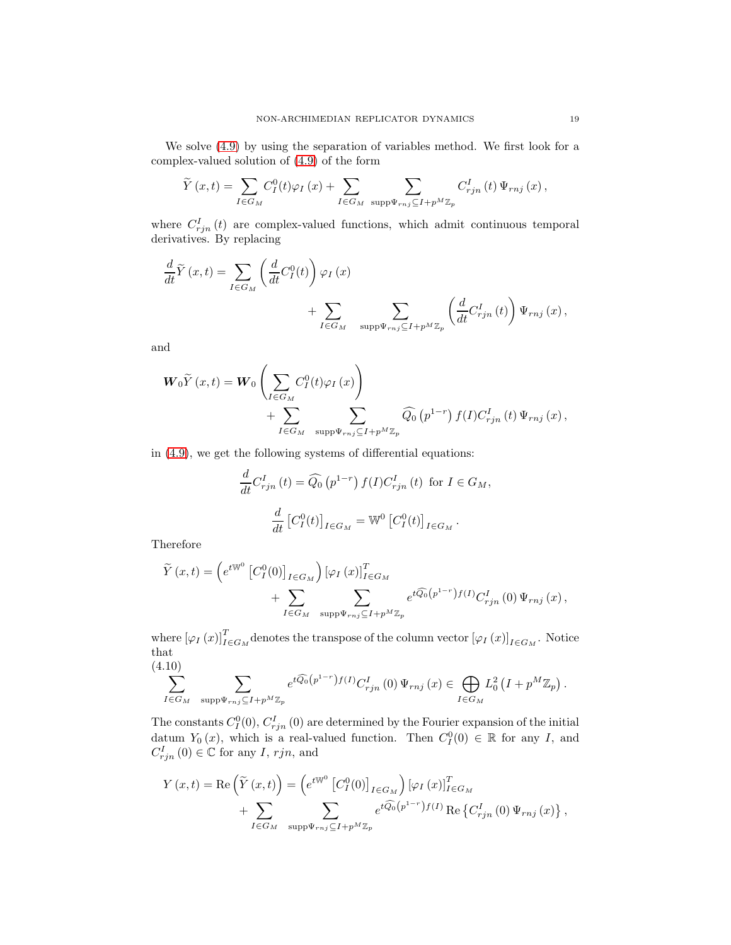We solve [\(4.9\)](#page-18-1) by using the separation of variables method. We first look for a complex-valued solution of [\(4.9\)](#page-18-1) of the form

$$
\widetilde{Y}(x,t) = \sum_{I \in G_M} C_I^0(t) \varphi_I(x) + \sum_{I \in G_M} \sum_{\text{supp}\Psi_{rnj} \subseteq I + p^M \mathbb{Z}_p} C_{rjn}^I(t) \Psi_{rnj}(x),
$$

where  $C_{rjn}^I(t)$  are complex-valued functions, which admit continuous temporal derivatives. By replacing

$$
\begin{split} \frac{d}{dt} \widetilde{Y}\left(x,t\right) &= \sum_{I \in G_M} \left(\frac{d}{dt} C^0_I(t)\right) \varphi_I\left(x\right) \\ &+ \sum_{I \in G_M} \quad \sum_{\text{supp}\Psi_{rnj} \subseteq I + p^M \mathbb{Z}_p} \left(\frac{d}{dt} C^I_{rjn}\left(t\right)\right) \Psi_{rnj}\left(x\right), \end{split}
$$

and

$$
\mathbf{W}_{0}\widetilde{Y}(x,t) = \mathbf{W}_{0} \left( \sum_{I \in G_{M}} C_{I}^{0}(t)\varphi_{I}(x) \right) + \sum_{I \in G_{M}} \sum_{\text{supp}\Psi_{rnj} \subseteq I + p^{M}\mathbb{Z}_{p}} \widehat{Q}_{0}\left(p^{1-r}\right) f(I)C_{rjn}^{I}\left(t\right)\Psi_{rnj}\left(x\right),
$$

in [\(4.9\)](#page-18-1), we get the following systems of differential equations:

$$
\frac{d}{dt}C_{rjn}^I(t) = \widehat{Q}_0(p^{1-r}) f(I)C_{rjn}^I(t) \text{ for } I \in G_M,
$$
  

$$
\frac{d}{dt} [C_I^0(t)]_{I \in G_M} = \mathbb{W}^0 [C_I^0(t)]_{I \in G_M}.
$$

Therefore

$$
\widetilde{Y}(x,t) = \left(e^{t\mathbb{W}^0} \left[C_I^0(0)\right]_{I \in G_M}\right) \left[\varphi_I(x)\right]_{I \in G_M}^T
$$
\n
$$
+ \sum_{I \in G_M} \sum_{\text{supp}\Psi_{rnj} \subseteq I + p^M \mathbb{Z}_p} e^{t\widehat{Q_0}\left(p^{1-r}\right)f(I)} C_{rjn}^I(0) \Psi_{rnj}(x),
$$

where  $[\varphi_I(x)]^T_{I \in G_M}$  denotes the transpose of the column vector  $[\varphi_I(x)]_{I \in G_M}$ . Notice that (4.10)

<span id="page-19-0"></span>
$$
\sum_{I\in G_M} \sum_{\text{supp}\Psi_{rnj}\subseteq I+p^M\mathbb{Z}_p} e^{t\widehat{Q_0}(p^{1-r})f(I)}C_{rjn}^I(0)\Psi_{rnj}(x) \in \bigoplus_{I\in G_M} L_0^2(I+p^M\mathbb{Z}_p).
$$

The constants  $C_l^0(0)$ ,  $C_{rjn}^I(0)$  are determined by the Fourier expansion of the initial datum  $Y_0(x)$ , which is a real-valued function. Then  $C_I^0(0) \in \mathbb{R}$  for any I, and  $C_{rjn}^I(0) \in \mathbb{C}$  for any I, rjn, and

$$
Y(x,t) = \text{Re}\left(\tilde{Y}(x,t)\right) = \left(e^{tW^0} \left[C_I^0(0)\right]_{I \in G_M}\right) \left[\varphi_I(x)\right]_{I \in G_M}^T
$$
  
+ 
$$
\sum_{I \in G_M} \sum_{\text{supp}\Psi_{rnj} \subseteq I + p^M \mathbb{Z}_p} e^{t\widehat{Q_0}(p^{1-r})f(I)} \text{Re}\left\{C_{rjn}^I(0)\Psi_{rnj}(x)\right\},
$$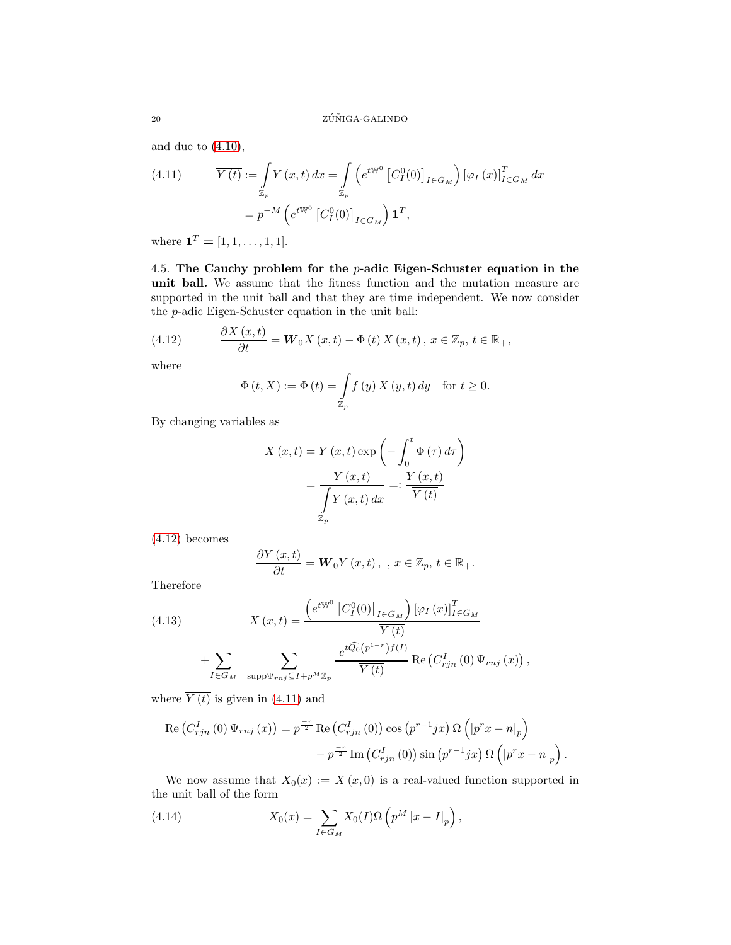and due to  $(4.10)$ ,

<span id="page-20-1"></span>(4.11) 
$$
\overline{Y(t)} := \int_{\mathbb{Z}_p} Y(x,t) dx = \int_{\mathbb{Z}_p} \left( e^{t \mathbb{W}^0} \left[ C_I^0(0) \right]_{I \in G_M} \right) \left[ \varphi_I(x) \right]_{I \in G_M}^T dx
$$

$$
= p^{-M} \left( e^{t \mathbb{W}^0} \left[ C_I^0(0) \right]_{I \in G_M} \right) \mathbf{1}^T,
$$

where  $\mathbf{1}^T = [1, 1, \dots, 1, 1].$ 

4.5. The Cauchy problem for the  $p$ -adic Eigen-Schuster equation in the unit ball. We assume that the fitness function and the mutation measure are supported in the unit ball and that they are time independent. We now consider the p-adic Eigen-Schuster equation in the unit ball:

(4.12) 
$$
\frac{\partial X(x,t)}{\partial t} = \mathbf{W}_0 X(x,t) - \Phi(t) X(x,t), x \in \mathbb{Z}_p, t \in \mathbb{R}_+,
$$

where

<span id="page-20-0"></span>
$$
\Phi(t, X) := \Phi(t) = \int_{\mathbb{Z}_p} f(y) X(y, t) dy \quad \text{for } t \ge 0.
$$

By changing variables as

$$
X(x,t) = Y(x,t) \exp\left(-\int_0^t \Phi(\tau) d\tau\right)
$$

$$
= \frac{Y(x,t)}{\int\limits_{\mathbb{Z}_p} Y(x,t) dx} =: \frac{Y(x,t)}{\overline{Y(t)}}
$$

[\(4.12\)](#page-20-0) becomes

$$
\frac{\partial Y(x,t)}{\partial t} = \mathbf{W}_0 Y(x,t) , \quad x \in \mathbb{Z}_p, t \in \mathbb{R}_+.
$$

Therefore

<span id="page-20-2"></span>(4.13) 
$$
X (x, t) = \frac{\left(e^{t \mathbb{W}^0} \left[C_I^0(0)\right]_{I \in G_M}\right) [\varphi_I (x)]_{I \in G_M}^T}{\overline{Y(t)}} + \sum_{I \in G_M} \sum_{\text{supp}\Psi_{rnj} \subseteq I + p^M \mathbb{Z}_p} \frac{e^{t \widehat{Q_0}(p^{1-r})f(I)}}{\overline{Y(t)}} \operatorname{Re}\left(C_{rjn}^I(0) \Psi_{rnj} (x)\right),
$$

where  $\overline{Y(t)}$  is given in [\(4.11\)](#page-20-1) and

$$
\operatorname{Re}\left(C_{rjn}^{I}\left(0\right)\Psi_{rnj}\left(x\right)\right)=p^{\frac{-r}{2}}\operatorname{Re}\left(C_{rjn}^{I}\left(0\right)\right)\cos\left(p^{r-1}jx\right)\Omega\left(\left|p^{r}x-n\right|_{p}\right)
$$

$$
-p^{\frac{-r}{2}}\operatorname{Im}\left(C_{rjn}^{I}\left(0\right)\right)\sin\left(p^{r-1}jx\right)\Omega\left(\left|p^{r}x-n\right|_{p}\right).
$$

We now assume that  $X_0(x) := X(x, 0)$  is a real-valued function supported in the unit ball of the form

<span id="page-20-3"></span>(4.14) 
$$
X_0(x) = \sum_{I \in G_M} X_0(I) \Omega \left( p^M |x - I|_p \right),
$$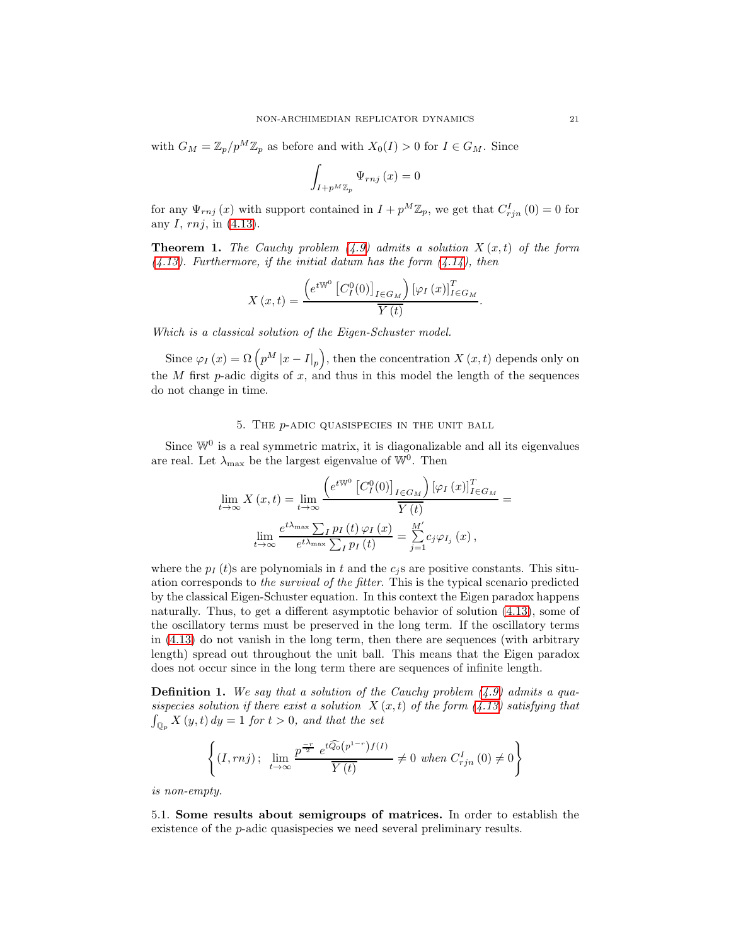with  $G_M = \mathbb{Z}_p/p^M \mathbb{Z}_p$  as before and with  $X_0(I) > 0$  for  $I \in G_M$ . Since

$$
\int_{I+p^M\mathbb{Z}_p} \Psi_{rnj}\left(x\right) = 0
$$

for any  $\Psi_{rnj}(x)$  with support contained in  $I + p^M \mathbb{Z}_p$ , we get that  $C_{rjn}^I(0) = 0$  for any  $I, rnj$ , in  $(4.13)$ .

<span id="page-21-0"></span>**Theorem 1.** The Cauchy problem  $(4.9)$  admits a solution  $X(x,t)$  of the form *[\(4.13\)](#page-20-2). Furthermore, if the initial datum has the form [\(4.14\)](#page-20-3), then*

$$
X(x,t) = \frac{\left(e^{tW^0} \left[C_I^0(0)\right]_{I \in G_M}\right) \left[\varphi_I(x)\right]_{I \in G_M}^T}{\overline{Y(t)}}.
$$

*Which is a classical solution of the Eigen-Schuster model.*

Since  $\varphi_I(x) = \Omega\left(p^M |x - I|_p\right)$ , then the concentration  $X(x, t)$  depends only on the  $M$  first  $p$ -adic digits of  $x$ , and thus in this model the length of the sequences do not change in time.

#### 5. The p-adic quasispecies in the unit ball

<span id="page-21-1"></span>Since  $\mathbb{W}^0$  is a real symmetric matrix, it is diagonalizable and all its eigenvalues are real. Let  $\lambda_{\text{max}}$  be the largest eigenvalue of  $\mathbb{W}^0$ . Then

$$
\lim_{t \to \infty} X(x,t) = \lim_{t \to \infty} \frac{\left(e^{t \mathbb{W}^0} \left[C_I^0(0)\right]_{I \in G_M}\right) [\varphi_I(x)]_{I \in G_M}^T}{\overline{Y(t)}} =
$$
\n
$$
\lim_{t \to \infty} \frac{e^{t \lambda_{\max}} \sum_I p_I(t) \varphi_I(x)}{e^{t \lambda_{\max}} \sum_I p_I(t)} = \sum_{j=1}^{M'} c_j \varphi_{I_j}(x),
$$

where the  $p_I(t)$  are polynomials in t and the  $c_i$  s are positive constants. This situation corresponds to *the survival of the fitter*. This is the typical scenario predicted by the classical Eigen-Schuster equation. In this context the Eigen paradox happens naturally. Thus, to get a different asymptotic behavior of solution [\(4.13\)](#page-20-2), some of the oscillatory terms must be preserved in the long term. If the oscillatory terms in [\(4.13\)](#page-20-2) do not vanish in the long term, then there are sequences (with arbitrary length) spread out throughout the unit ball. This means that the Eigen paradox does not occur since in the long term there are sequences of infinite length.

Definition 1. *We say that a solution of the Cauchy problem [\(4.9\)](#page-18-1) admits a quasispecies solution if there exist a solution*  $X(x,t)$  *of the form*  $(4.13)$  *satisfying that*  $\int_{\mathbb{Q}_p} X(y, t) dy = 1$  *for*  $t > 0$ *, and that the set* 

$$
\left\{(I,rnj)\,;\ \lim_{t\to\infty}\frac{p^{\frac{-r}{2}}\ e^{t\widehat{Q_0}(p^{1-r})f(I)}}{\overline{Y(t)}}\neq 0\ \text{when}\ C_{rjn}^I\left(0\right)\neq 0\right\}
$$

*is non-empty.*

5.1. Some results about semigroups of matrices. In order to establish the existence of the p-adic quasispecies we need several preliminary results.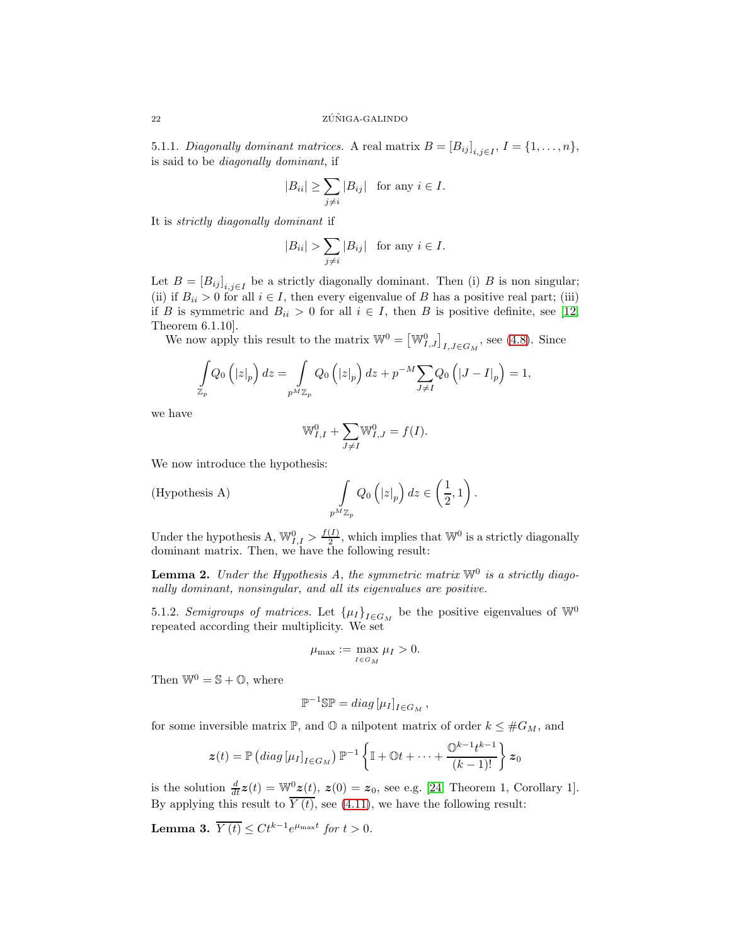5.1.1. *Diagonally dominant matrices.* A real matrix  $B = [B_{ij}]_{i,j \in I}$ ,  $I = \{1, \ldots, n\}$ , is said to be *diagonally dominant*, if

$$
|B_{ii}| \ge \sum_{j \ne i} |B_{ij}| \text{ for any } i \in I.
$$

It is *strictly diagonally dominant* if

$$
|B_{ii}| > \sum_{j \neq i} |B_{ij}| \text{ for any } i \in I.
$$

Let  $B = [B_{ij}]_{i,j \in I}$  be a strictly diagonally dominant. Then (i) B is non singular; (ii) if  $B_{ii} > 0$  for all  $i \in I$ , then every eigenvalue of B has a positive real part; (iii) if B is symmetric and  $B_{ii} > 0$  for all  $i \in I$ , then B is positive definite, see [12, Theorem 6.1.10].

We now apply this result to the matrix  $\mathbb{W}^0 = [\mathbb{W}_{I,J}^0]_{I,J \in G_M}$ , see [\(4.8\)](#page-18-2). Since

$$
\int_{\mathbb{Z}_p} Q_0\left(|z|_p\right) dz = \int_{p^M \mathbb{Z}_p} Q_0\left(|z|_p\right) dz + p^{-M} \sum_{J \neq I} Q_0\left(|J - I|_p\right) = 1,
$$

we have

$$
\mathbb{W}_{I,I}^0 + \sum_{J \neq I} \mathbb{W}_{I,J}^0 = f(I).
$$

We now introduce the hypothesis:

(Hypothesis A) 
$$
\int_{p^M \mathbb{Z}_p} Q_0\left(|z|_p\right) dz \in \left(\frac{1}{2}, 1\right).
$$

Under the hypothesis A,  $\mathbb{W}_{I,I}^0 > \frac{f(I)}{2}$  $\frac{(1)}{2}$ , which implies that  $\mathbb{W}^0$  is a strictly diagonally dominant matrix. Then, we have the following result:

Lemma 2. Under the Hypothesis A, the symmetric matrix  $\mathbb{W}^0$  is a strictly diago*nally dominant, nonsingular, and all its eigenvalues are positive.*

5.1.2. *Semigroups of matrices*. Let  $\{\mu_I\}_{I \in G_M}$  be the positive eigenvalues of  $\mathbb{W}^0$ repeated according their multiplicity. We set

$$
\mu_{\max} := \max_{I \in G_M} \mu_I > 0.
$$

Then  $\mathbb{W}^0 = \mathbb{S} + \mathbb{O}$ , where

$$
\mathbb{P}^{-1}\mathbb{SP} = diag\left[\mu_I\right]_{I \in G_M},
$$

for some inversible matrix  $\mathbb{P}$ , and  $\mathbb{O}$  a nilpotent matrix of order  $k \leq #G_M$ , and

$$
\boldsymbol{z}(t) = \mathbb{P}\left(\operatorname{diag}\left[\mu_I\right]_{I \in G_M}\right) \mathbb{P}^{-1}\left\{\mathbb{I} + \mathbb{O}t + \cdots + \frac{\mathbb{O}^{k-1}t^{k-1}}{(k-1)!}\right\} \boldsymbol{z}_0
$$

is the solution  $\frac{d}{dt}z(t) = \mathbb{W}_{2}^{0}(t)$ ,  $z(0) = z_0$ , see e.g. [\[24,](#page-26-10) Theorem 1, Corollary 1]. By applying this result to  $\overline{Y(t)}$ , see [\(4.11\)](#page-20-1), we have the following result:

<span id="page-22-0"></span>Lemma 3.  $\overline{Y(t)} \leq Ct^{k-1}e^{\mu_{\max}t}$  for  $t > 0$ .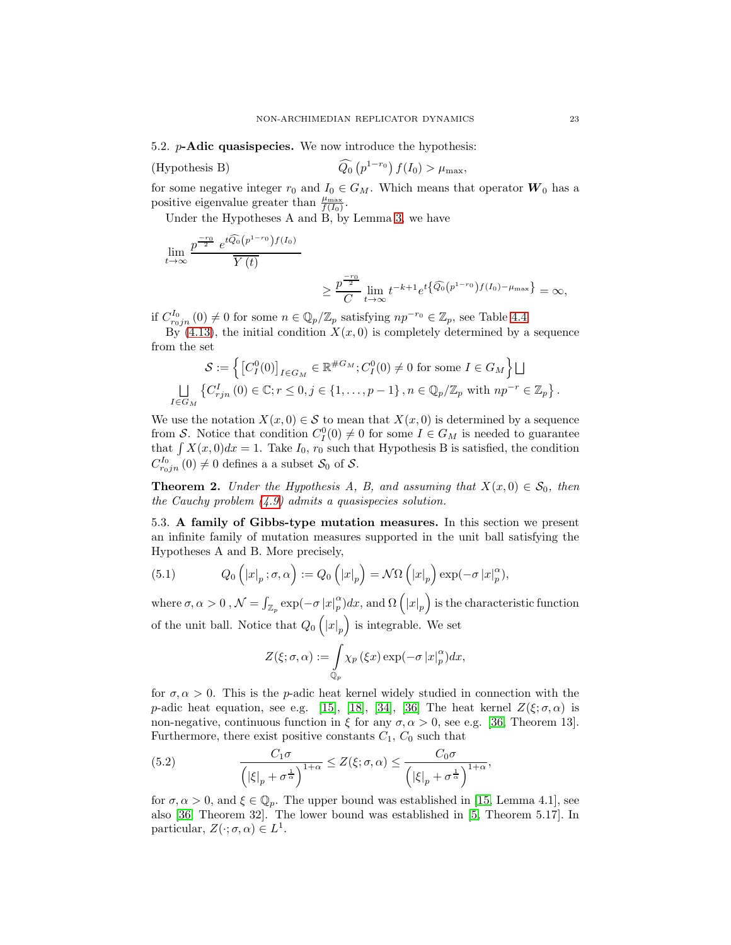5.2. p-Adic quasispecies. We now introduce the hypothesis:

(Hypothesis B) 
$$
\widehat{Q_0}\left(p^{1-r_0}\right)f(I_0) > \mu_{\max},
$$

for some negative integer  $r_0$  and  $I_0 \in G_M$ . Which means that operator  $W_0$  has a positive eigenvalue greater than  $\frac{\mu_{\text{max}}}{f(I_0)}$ .

Under the Hypotheses A and B, by Lemma [3,](#page-22-0) we have

$$
\lim_{t \to \infty} \frac{p^{\frac{-r_0}{2}} e^{t \widehat{Q_0}(p^{1-r_0}) f(I_0)}}{\overline{Y(t)}} \ge \frac{p^{\frac{-r_0}{2}}}{C} \lim_{t \to \infty} t^{-k+1} e^{t \left\{\widehat{Q_0}(p^{1-r_0}) f(I_0) - \mu_{\max}\right\}} = \infty,
$$

if  $C_{r_0jn}^{I_0}(0) \neq 0$  for some  $n \in \mathbb{Q}_p/\mathbb{Z}_p$  satisfying  $np^{-r_0} \in \mathbb{Z}_p$ , see Table [4.4.](#page-15-2)

By [\(4.13\)](#page-20-2), the initial condition  $X(x, 0)$  is completely determined by a sequence from the set

$$
\mathcal{S} := \left\{ \left[ C_I^0(0) \right]_{I \in G_M} \in \mathbb{R}^{\#G_M}; C_I^0(0) \neq 0 \text{ for some } I \in G_M \right\} \bigsqcup_{I \in G_M} \left\{ C_{rjn}^I(0) \in \mathbb{C}; r \leq 0, j \in \{1, \ldots, p-1\}, n \in \mathbb{Q}_p/\mathbb{Z}_p \text{ with } np^{-r} \in \mathbb{Z}_p \right\}.
$$

We use the notation  $X(x, 0) \in S$  to mean that  $X(x, 0)$  is determined by a sequence from S. Notice that condition  $C_I^0(0) \neq 0$  for some  $I \in G_M$  is needed to guarantee that  $\int X(x, 0)dx = 1$ . Take  $I_0$ ,  $r_0$  such that Hypothesis B is satisfied, the condition  $C^{I_0}_{r_0jn}\left(0\right)\neq0$  defines a a subset  $\mathcal{S}_0$  of  $\mathcal{S}$ .

<span id="page-23-0"></span>**Theorem 2.** *Under the Hypothesis A, B, and assuming that*  $X(x, 0) \in S_0$ *, then the Cauchy problem [\(4.9\)](#page-18-1) admits a quasispecies solution.*

5.3. A family of Gibbs-type mutation measures. In this section we present an infinite family of mutation measures supported in the unit ball satisfying the Hypotheses A and B. More precisely,

<span id="page-23-2"></span>(5.1) 
$$
Q_0\left(|x|_p;\sigma,\alpha\right) := Q_0\left(|x|_p\right) = \mathcal{N}\Omega\left(|x|_p\right) \exp(-\sigma |x|_p^{\alpha}),
$$

where  $\sigma, \alpha > 0$  ,  $\mathcal{N} = \int_{\mathbb{Z}_p} \exp(-\sigma |x|_p^{\alpha})$  $\binom{\alpha}{p} dx$ , and  $\Omega\left(|x|_p\right)$  is the characteristic function of the unit ball. Notice that  $Q_0(|x|_p)$  is integrable. We set

$$
Z(\xi;\sigma,\alpha):=\int\limits_{\mathbb{Q}_p}\chi_p\left(\xi x\right)\exp(-\sigma\left|x\right|_p^{\alpha})dx,
$$

for  $\sigma, \alpha > 0$ . This is the p-adic heat kernel widely studied in connection with the p-adic heat equation, see e.g. [\[15\]](#page-25-9), [\[18\]](#page-25-2), [\[34\]](#page-26-6), [\[36\]](#page-26-7) The heat kernel  $Z(\xi;\sigma,\alpha)$  is non-negative, continuous function in  $\xi$  for any  $\sigma, \alpha > 0$ , see e.g. [\[36,](#page-26-7) Theorem 13]. Furthermore, there exist positive constants  $C_1$ ,  $C_0$  such that

<span id="page-23-1"></span>(5.2) 
$$
\frac{C_1\sigma}{\left(|\xi|_p + \sigma^{\frac{1}{\alpha}}\right)^{1+\alpha}} \leq Z(\xi;\sigma,\alpha) \leq \frac{C_0\sigma}{\left(|\xi|_p + \sigma^{\frac{1}{\alpha}}\right)^{1+\alpha}},
$$

for  $\sigma, \alpha > 0$ , and  $\xi \in \mathbb{Q}_p$ . The upper bound was established in [\[15,](#page-25-9) Lemma 4.1], see also [\[36,](#page-26-7) Theorem 32]. The lower bound was established in [5, Theorem 5.17]. In particular,  $Z(\cdot; \sigma, \alpha) \in L^1$ .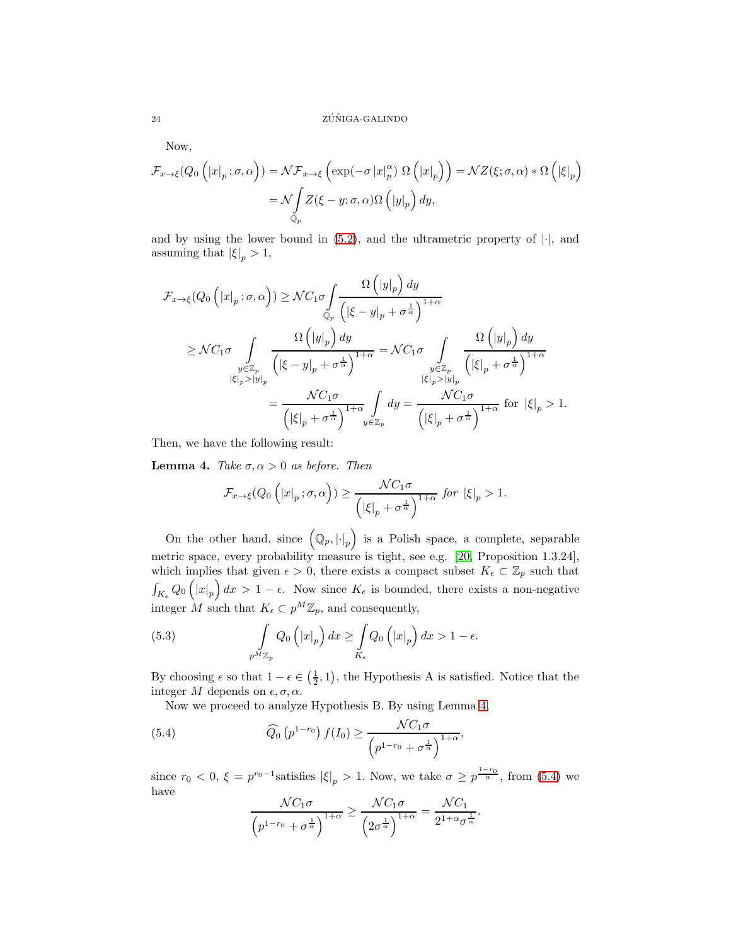Now,

$$
\mathcal{F}_{x \to \xi}(Q_0\left(|x|_p; \sigma, \alpha\right)) = \mathcal{NF}_{x \to \xi}\left(\exp(-\sigma |x|_p^{\alpha}) \Omega\left(|x|_p\right)\right) = \mathcal{NZ}(\xi; \sigma, \alpha) * \Omega\left(|\xi|_p\right)
$$

$$
= \mathcal{N} \int_{\mathbb{Q}_p} Z(\xi - y; \sigma, \alpha) \Omega\left(|y|_p\right) dy,
$$

and by using the lower bound in  $(5.2)$ , and the ultrametric property of  $|\cdot|$ , and assuming that  $|\xi|_p > 1$ ,

$$
\mathcal{F}_{x \to \xi}(Q_0\left(|x|_p; \sigma, \alpha\right)) \geq \mathcal{N}C_1\sigma \int_{\mathbb{Q}_p} \frac{\Omega\left(|y|_p\right) dy}{\left(|\xi - y|_p + \sigma^{\frac{1}{\alpha}}\right)^{1+\alpha}}\n\n\geq \mathcal{N}C_1\sigma \int_{\substack{y \in \mathbb{Z}_p \\ |\xi|_p > |y|_p}} \frac{\Omega\left(|y|_p\right) dy}{\left(|\xi - y|_p + \sigma^{\frac{1}{\alpha}}\right)^{1+\alpha}} = \mathcal{N}C_1\sigma \int_{\substack{y \in \mathbb{Z}_p \\ |\xi|_p > |y|_p}} \frac{\Omega\left(|y|_p\right) dy}{\left(|\xi|_p + \sigma^{\frac{1}{\alpha}}\right)^{1+\alpha}}\n\n= \frac{\mathcal{N}C_1\sigma}{\left(|\xi|_p + \sigma^{\frac{1}{\alpha}}\right)^{1+\alpha}} \int_{y \in \mathbb{Z}_p} dy = \frac{\mathcal{N}C_1\sigma}{\left(|\xi|_p + \sigma^{\frac{1}{\alpha}}\right)^{1+\alpha}} \text{ for } |\xi|_p > 1.
$$

Then, we have the following result:

<span id="page-24-0"></span>**Lemma 4.** *Take*  $\sigma$ ,  $\alpha$  > 0 *as before. Then* 

$$
\mathcal{F}_{x \to \xi}(Q_0\left(|x|_p; \sigma, \alpha\right)) \ge \frac{\mathcal{N}C_1\sigma}{\left(|\xi|_p + \sigma^{\frac{1}{\alpha}}\right)^{1+\alpha}} \text{ for } |\xi|_p > 1.
$$

On the other hand, since  $(Q_p, |\cdot|_p)$  is a Polish space, a complete, separable metric space, every probability measure is tight, see e.g. [20, Proposition 1.3.24], which implies that given  $\epsilon > 0$ , there exists a compact subset  $K_{\epsilon} \subset \mathbb{Z}_p$  such that  $\int_{K_{\epsilon}} Q_0(|x|_p) dx > 1 - \epsilon$ . Now since  $K_{\epsilon}$  is bounded, there exists a non-negative integer M such that  $K_{\epsilon} \subset p^M \mathbb{Z}_p$ , and consequently,

<span id="page-24-2"></span>(5.3) 
$$
\int_{p^M \mathbb{Z}_p} Q_0\left(|x|_p\right) dx \ge \int_{K_{\epsilon}} Q_0\left(|x|_p\right) dx > 1 - \epsilon.
$$

By choosing  $\epsilon$  so that  $1 - \epsilon \in (\frac{1}{2}, 1)$ , the Hypothesis A is satisfied. Notice that the integer M depends on  $\epsilon, \sigma, \alpha$ .

Now we proceed to analyze Hypothesis B. By using Lemma [4,](#page-24-0)

(5.4) 
$$
\widehat{Q}_0(p^{1-r_0}) f(I_0) \geq \frac{\mathcal{N}C_1\sigma}{\left(p^{1-r_0} + \sigma^{\frac{1}{\alpha}}\right)^{1+\alpha}},
$$

since  $r_0 < 0$ ,  $\xi = p^{r_0-1}$ satisfies  $|\xi|_p > 1$ . Now, we take  $\sigma \ge p^{\frac{1-r_0}{\alpha}}$ , from [\(5.4\)](#page-24-1) we have

<span id="page-24-1"></span>
$$
\frac{\mathcal{N}C_1\sigma}{\left(p^{1-r_0}+\sigma^{\frac{1}{\alpha}}\right)^{1+\alpha}}\geq \frac{\mathcal{N}C_1\sigma}{\left(2\sigma^{\frac{1}{\alpha}}\right)^{1+\alpha}}=\frac{\mathcal{N}C_1}{2^{1+\alpha}\sigma^{\frac{1}{\alpha}}}.
$$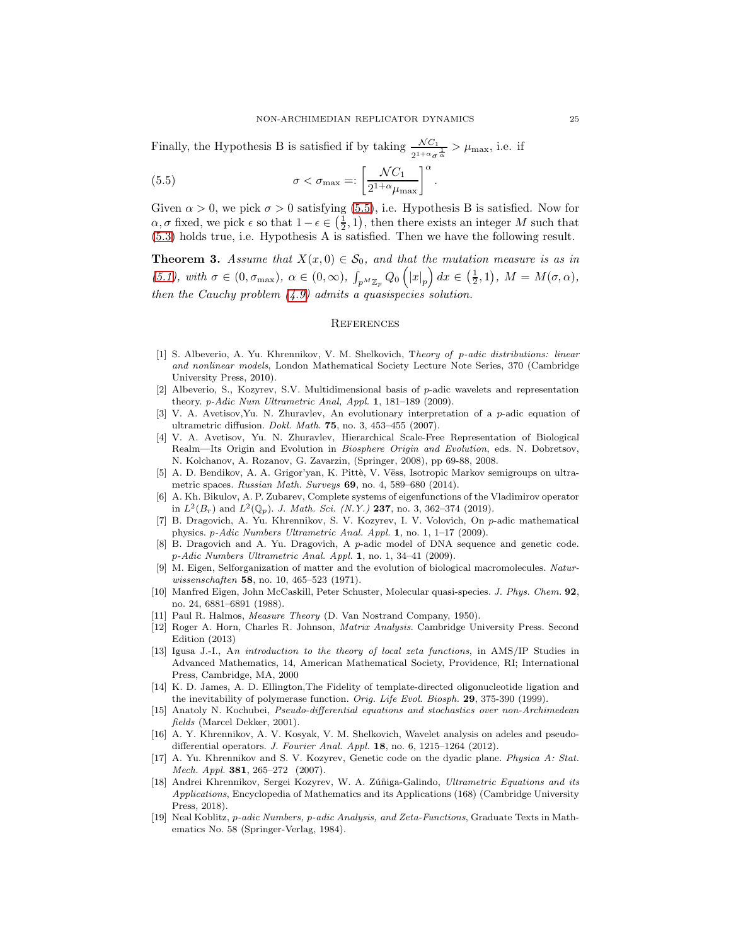Finally, the Hypothesis B is satisfied if by taking  $\frac{\mathcal{N}C_1}{2^{1+\alpha}\sigma^{\frac{1}{\alpha}}} > \mu_{\max}$ , i.e. if

<span id="page-25-14"></span>(5.5) 
$$
\sigma < \sigma_{\max} =: \left[\frac{\mathcal{N}C_1}{2^{1+\alpha}\mu_{\max}}\right]^\alpha.
$$

Given  $\alpha > 0$ , we pick  $\sigma > 0$  satisfying [\(5.5\)](#page-25-14), i.e. Hypothesis B is satisfied. Now for  $\alpha, \sigma$  fixed, we pick  $\epsilon$  so that  $1-\epsilon \in (\frac{1}{2}, 1)$ , then there exists an integer M such that [\(5.3\)](#page-24-2) holds true, i.e. Hypothesis A is satisfied. Then we have the following result.

<span id="page-25-3"></span>**Theorem 3.** Assume that  $X(x, 0) \in S_0$ , and that the mutation measure is as in  $(5.1)$ *, with*  $\sigma \in (0, \sigma_{\max})$ *,*  $\alpha \in (0, \infty)$ *,*  $\int_{p^M \mathbb{Z}_p} Q_0(|x|_p) dx \in (\frac{1}{2}, 1)$ *,*  $M = M(\sigma, \alpha)$ *, then the Cauchy problem [\(4.9\)](#page-18-1) admits a quasispecies solution.*

#### **REFERENCES**

- [1] S. Albeverio, A. Yu. Khrennikov, V. M. Shelkovich, Theory of p-adic distributions: linear and nonlinear models, London Mathematical Society Lecture Note Series, 370 (Cambridge University Press, 2010).
- <span id="page-25-11"></span>[2] Albeverio, S., Kozyrev, S.V. Multidimensional basis of p-adic wavelets and representation theory. p-Adic Num Ultrametric Anal, Appl. 1, 181-189 (2009).
- <span id="page-25-4"></span>[3] V. A. Avetisov,Yu. N. Zhuravlev, An evolutionary interpretation of a p-adic equation of ultrametric diffusion. Dokl. Math. 75, no. 3, 453–455 (2007).
- <span id="page-25-5"></span>[4] V. A. Avetisov, Yu. N. Zhuravlev, Hierarchical Scale-Free Representation of Biological Realm—Its Origin and Evolution in Biosphere Origin and Evolution, eds. N. Dobretsov, N. Kolchanov, A. Rozanov, G. Zavarzin, (Springer, 2008), pp 69-88, 2008.
- [5] A. D. Bendikov, A. A. Grigor'yan, K. Pittè, V. Vëss, Isotropic Markov semigroups on ultrametric spaces. Russian Math. Surveys 69, no. 4, 589–680 (2014).
- <span id="page-25-13"></span>[6] A. Kh. Bikulov, A. P. Zubarev, Complete systems of eigenfunctions of the Vladimirov operator in  $L^2(B_r)$  and  $L^2(\mathbb{Q}_p)$ . J. Math. Sci. (N.Y.) 237, no. 3, 362-374 (2019).
- <span id="page-25-6"></span>[7] B. Dragovich, A. Yu. Khrennikov, S. V. Kozyrev, I. V. Volovich, On p-adic mathematical physics. p-Adic Numbers Ultrametric Anal. Appl. 1, no. 1, 1–17 (2009).
- <span id="page-25-7"></span>[8] B. Dragovich and A. Yu. Dragovich, A p-adic model of DNA sequence and genetic code. p-Adic Numbers Ultrametric Anal. Appl. 1, no. 1, 34–41 (2009).
- <span id="page-25-0"></span>[9] M. Eigen, Selforganization of matter and the evolution of biological macromolecules. Naturwissenschaften **58**, no. 10, 465–523 (1971).
- [10] Manfred Eigen, John McCaskill, Peter Schuster, Molecular quasi-species. J. Phys. Chem. 92, no. 24, 6881–6891 (1988).
- <span id="page-25-10"></span>[11] Paul R. Halmos, Measure Theory (D. Van Nostrand Company, 1950).
- [12] Roger A. Horn, Charles R. Johnson, Matrix Analysis. Cambridge University Press. Second Edition (2013)
- <span id="page-25-12"></span>[13] Igusa J.-I., An introduction to the theory of local zeta functions, in AMS/IP Studies in Advanced Mathematics, 14, American Mathematical Society, Providence, RI; International Press, Cambridge, MA, 2000
- [14] K. D. James, A. D. Ellington,The Fidelity of template-directed oligonucleotide ligation and the inevitability of polymerase function. *Orig. Life Evol. Biosph.* **29**, 375-390 (1999).
- <span id="page-25-9"></span>[15] Anatoly N. Kochubei, Pseudo-differential equations and stochastics over non-Archimedean fields (Marcel Dekker, 2001).
- [16] A. Y. Khrennikov, A. V. Kosyak, V. M. Shelkovich, Wavelet analysis on adeles and pseudodifferential operators. J. Fourier Anal. Appl. 18, no. 6, 1215-1264 (2012).
- <span id="page-25-8"></span>[17] A. Yu. Khrennikov and S. V. Kozyrev, Genetic code on the dyadic plane. Physica A: Stat. Mech. Appl. 381, 265–272 (2007).
- <span id="page-25-2"></span>[18] Andrei Khrennikov, Sergei Kozyrev, W. A. Zúñiga-Galindo, Ultrametric Equations and its Applications, Encyclopedia of Mathematics and its Applications (168) (Cambridge University Press, 2018).
- <span id="page-25-1"></span>[19] Neal Koblitz, p-adic Numbers, p-adic Analysis, and Zeta-Functions, Graduate Texts in Mathematics No. 58 (Springer-Verlag, 1984).